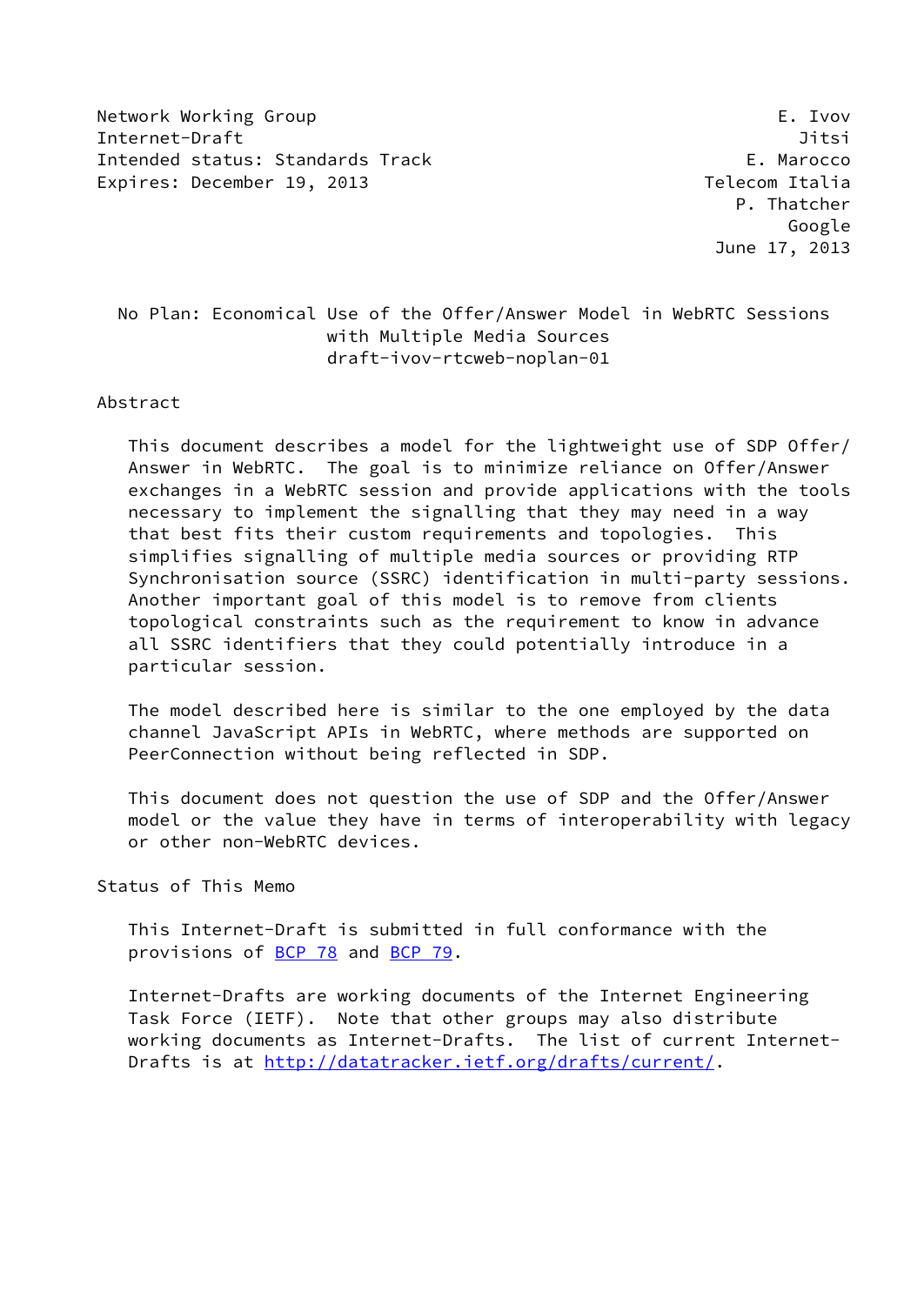Network Working Group E. Ivov Internet-Draft Jitsi Intended status: Standards Track E. Marocco Expires: December 19, 2013 and the communication of the Telecom Italia

 P. Thatcher Google June 17, 2013

 No Plan: Economical Use of the Offer/Answer Model in WebRTC Sessions with Multiple Media Sources draft-ivov-rtcweb-noplan-01

Abstract

 This document describes a model for the lightweight use of SDP Offer/ Answer in WebRTC. The goal is to minimize reliance on Offer/Answer exchanges in a WebRTC session and provide applications with the tools necessary to implement the signalling that they may need in a way that best fits their custom requirements and topologies. This simplifies signalling of multiple media sources or providing RTP Synchronisation source (SSRC) identification in multi-party sessions. Another important goal of this model is to remove from clients topological constraints such as the requirement to know in advance all SSRC identifiers that they could potentially introduce in a particular session.

 The model described here is similar to the one employed by the data channel JavaScript APIs in WebRTC, where methods are supported on PeerConnection without being reflected in SDP.

 This document does not question the use of SDP and the Offer/Answer model or the value they have in terms of interoperability with legacy or other non-WebRTC devices.

Status of This Memo

 This Internet-Draft is submitted in full conformance with the provisions of [BCP 78](https://datatracker.ietf.org/doc/pdf/bcp78) and [BCP 79](https://datatracker.ietf.org/doc/pdf/bcp79).

 Internet-Drafts are working documents of the Internet Engineering Task Force (IETF). Note that other groups may also distribute working documents as Internet-Drafts. The list of current Internet- Drafts is at<http://datatracker.ietf.org/drafts/current/>.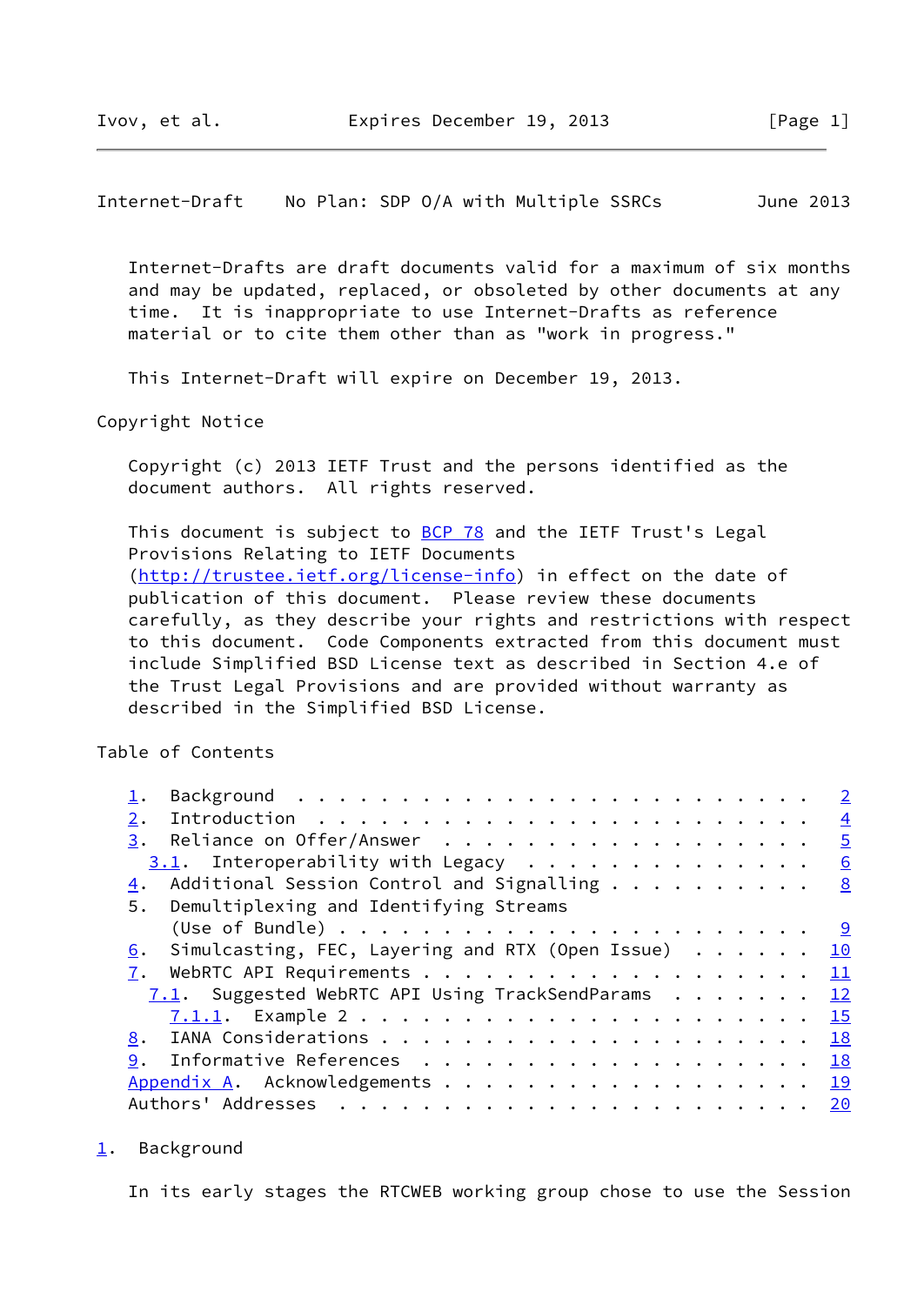<span id="page-1-1"></span>Internet-Draft No Plan: SDP O/A with Multiple SSRCs June 2013

 Internet-Drafts are draft documents valid for a maximum of six months and may be updated, replaced, or obsoleted by other documents at any time. It is inappropriate to use Internet-Drafts as reference material or to cite them other than as "work in progress."

This Internet-Draft will expire on December 19, 2013.

Copyright Notice

 Copyright (c) 2013 IETF Trust and the persons identified as the document authors. All rights reserved.

This document is subject to [BCP 78](https://datatracker.ietf.org/doc/pdf/bcp78) and the IETF Trust's Legal Provisions Relating to IETF Documents [\(http://trustee.ietf.org/license-info](http://trustee.ietf.org/license-info)) in effect on the date of publication of this document. Please review these documents carefully, as they describe your rights and restrictions with respect to this document. Code Components extracted from this document must include Simplified BSD License text as described in Section 4.e of the Trust Legal Provisions and are provided without warranty as described in the Simplified BSD License.

Table of Contents

|                                                                 | $\overline{2}$ |
|-----------------------------------------------------------------|----------------|
| 2.                                                              | $\overline{4}$ |
|                                                                 | $\overline{5}$ |
| $3.1$ . Interoperability with Legacy                            | 6              |
| Additional Session Control and Signalling<br>4.                 | 8              |
| 5. Demultiplexing and Identifying Streams                       |                |
|                                                                 |                |
| 6. Simulcasting, FEC, Layering and RTX (Open Issue) $\cdots$ 10 |                |
|                                                                 |                |
| 7.1. Suggested WebRTC API Using TrackSendParams 12              |                |
|                                                                 |                |
|                                                                 |                |
| Informative References 18<br>9.                                 |                |
| Appendix A. Acknowledgements 19                                 |                |
|                                                                 |                |

<span id="page-1-0"></span>[1](#page-1-0). Background

In its early stages the RTCWEB working group chose to use the Session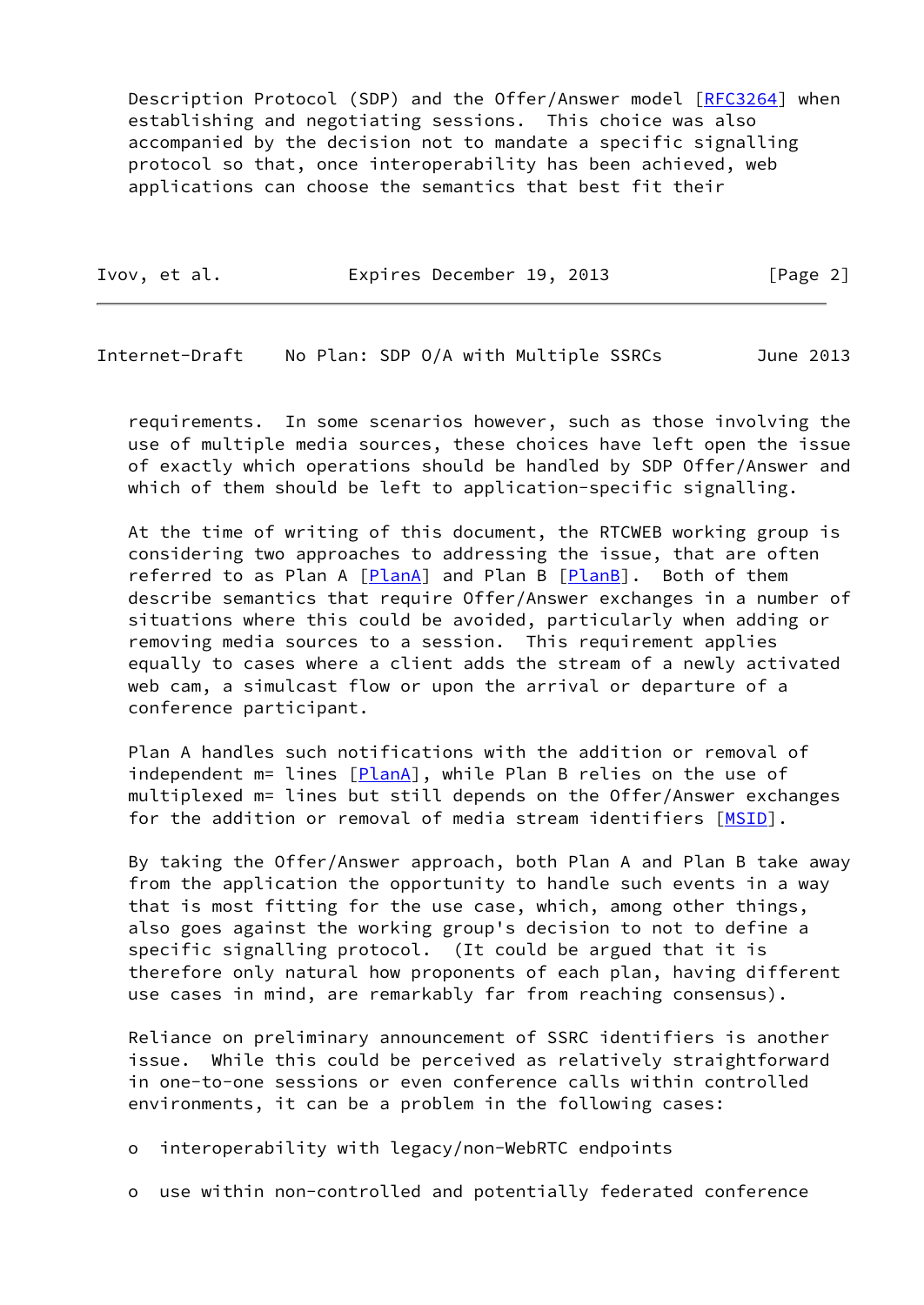Description Protocol (SDP) and the Offer/Answer model [[RFC3264](https://datatracker.ietf.org/doc/pdf/rfc3264)] when establishing and negotiating sessions. This choice was also accompanied by the decision not to mandate a specific signalling protocol so that, once interoperability has been achieved, web applications can choose the semantics that best fit their

| Ivov, et al. | Expires December 19, 2013 | [Page 2] |
|--------------|---------------------------|----------|
|              |                           |          |

Internet-Draft No Plan: SDP O/A with Multiple SSRCs June 2013

 requirements. In some scenarios however, such as those involving the use of multiple media sources, these choices have left open the issue of exactly which operations should be handled by SDP Offer/Answer and which of them should be left to application-specific signalling.

 At the time of writing of this document, the RTCWEB working group is considering two approaches to addressing the issue, that are often referred to as Plan A [[PlanA\]](#page-20-1) and Plan B [\[PlanB\]](#page-20-2). Both of them describe semantics that require Offer/Answer exchanges in a number of situations where this could be avoided, particularly when adding or removing media sources to a session. This requirement applies equally to cases where a client adds the stream of a newly activated web cam, a simulcast flow or upon the arrival or departure of a conference participant.

 Plan A handles such notifications with the addition or removal of independent m= lines [\[PlanA\]](#page-20-1), while Plan B relies on the use of multiplexed m= lines but still depends on the Offer/Answer exchanges for the addition or removal of media stream identifiers [\[MSID](#page-19-3)].

 By taking the Offer/Answer approach, both Plan A and Plan B take away from the application the opportunity to handle such events in a way that is most fitting for the use case, which, among other things, also goes against the working group's decision to not to define a specific signalling protocol. (It could be argued that it is therefore only natural how proponents of each plan, having different use cases in mind, are remarkably far from reaching consensus).

 Reliance on preliminary announcement of SSRC identifiers is another issue. While this could be perceived as relatively straightforward in one-to-one sessions or even conference calls within controlled environments, it can be a problem in the following cases:

o interoperability with legacy/non-WebRTC endpoints

o use within non-controlled and potentially federated conference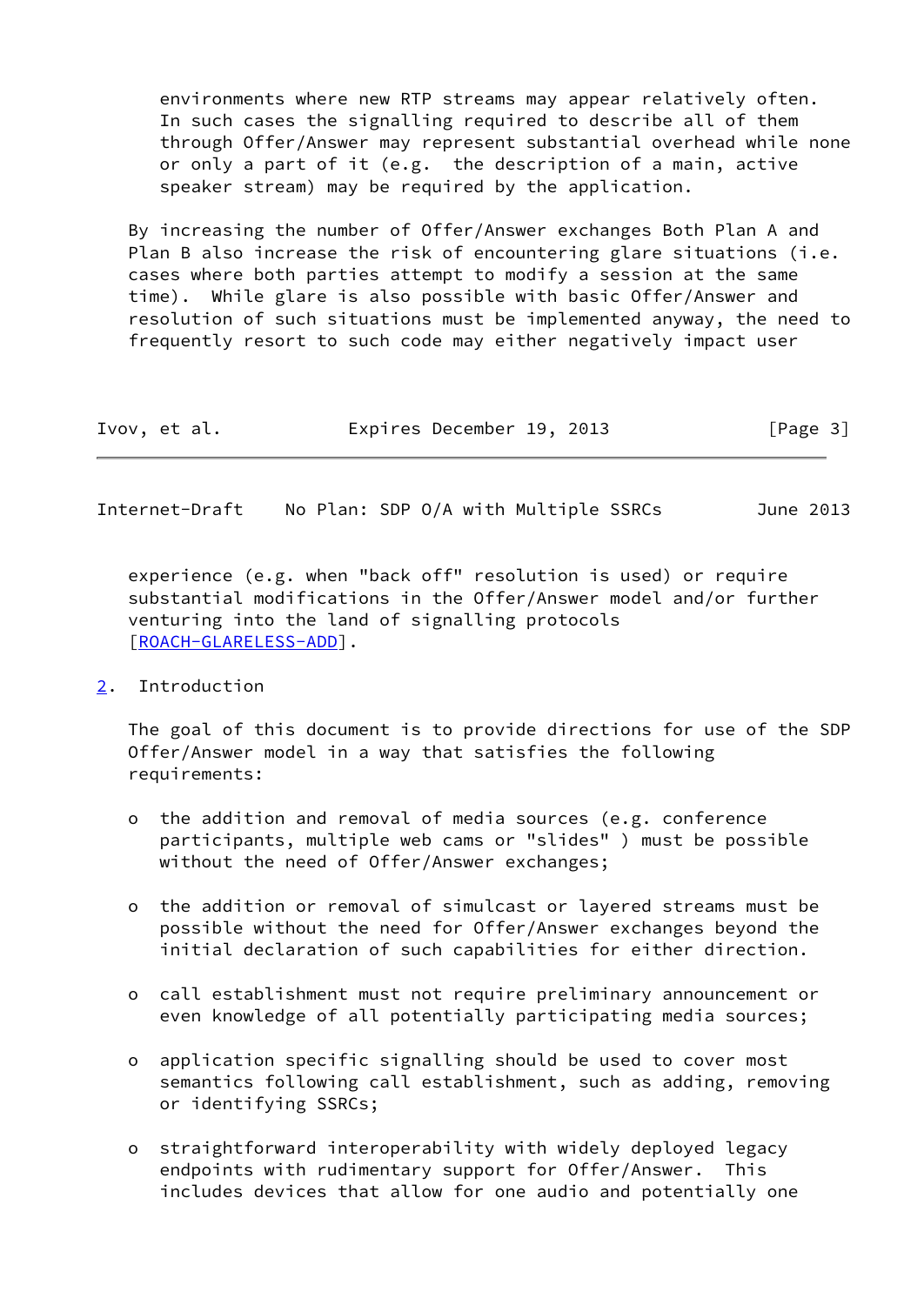environments where new RTP streams may appear relatively often. In such cases the signalling required to describe all of them through Offer/Answer may represent substantial overhead while none or only a part of it (e.g. the description of a main, active speaker stream) may be required by the application.

 By increasing the number of Offer/Answer exchanges Both Plan A and Plan B also increase the risk of encountering glare situations (i.e. cases where both parties attempt to modify a session at the same time). While glare is also possible with basic Offer/Answer and resolution of such situations must be implemented anyway, the need to frequently resort to such code may either negatively impact user

| Ivov, et al. | Expires December 19, 2013 |  | [Page 3] |
|--------------|---------------------------|--|----------|
|--------------|---------------------------|--|----------|

<span id="page-3-1"></span>Internet-Draft No Plan: SDP O/A with Multiple SSRCs June 2013

 experience (e.g. when "back off" resolution is used) or require substantial modifications in the Offer/Answer model and/or further venturing into the land of signalling protocols [\[ROACH-GLARELESS-ADD](#page-20-3)].

## <span id="page-3-0"></span>[2](#page-3-0). Introduction

 The goal of this document is to provide directions for use of the SDP Offer/Answer model in a way that satisfies the following requirements:

- o the addition and removal of media sources (e.g. conference participants, multiple web cams or "slides" ) must be possible without the need of Offer/Answer exchanges;
- o the addition or removal of simulcast or layered streams must be possible without the need for Offer/Answer exchanges beyond the initial declaration of such capabilities for either direction.
- o call establishment must not require preliminary announcement or even knowledge of all potentially participating media sources;
- o application specific signalling should be used to cover most semantics following call establishment, such as adding, removing or identifying SSRCs;
- o straightforward interoperability with widely deployed legacy endpoints with rudimentary support for Offer/Answer. This includes devices that allow for one audio and potentially one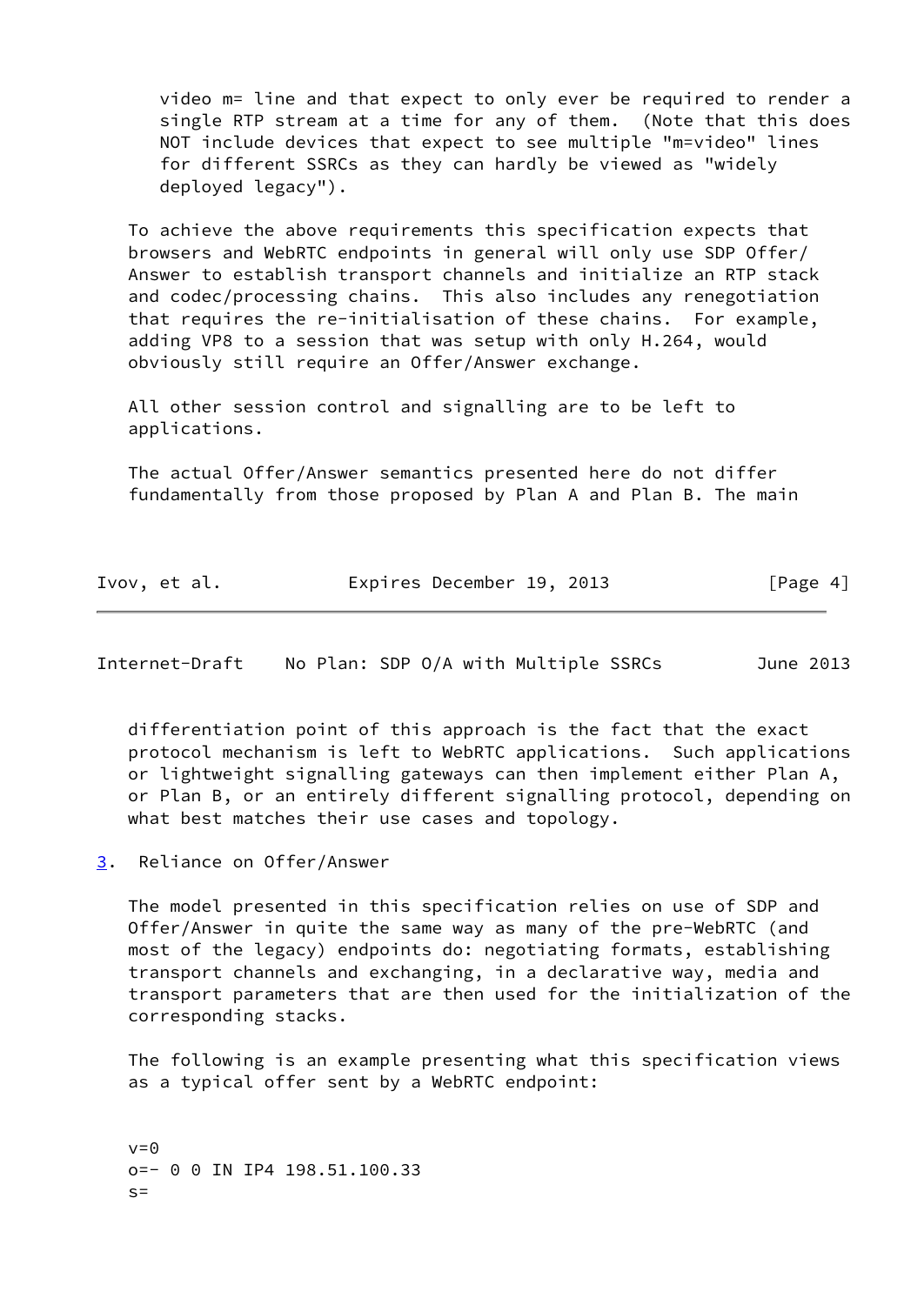video m= line and that expect to only ever be required to render a single RTP stream at a time for any of them. (Note that this does NOT include devices that expect to see multiple "m=video" lines for different SSRCs as they can hardly be viewed as "widely deployed legacy").

 To achieve the above requirements this specification expects that browsers and WebRTC endpoints in general will only use SDP Offer/ Answer to establish transport channels and initialize an RTP stack and codec/processing chains. This also includes any renegotiation that requires the re-initialisation of these chains. For example, adding VP8 to a session that was setup with only H.264, would obviously still require an Offer/Answer exchange.

 All other session control and signalling are to be left to applications.

 The actual Offer/Answer semantics presented here do not differ fundamentally from those proposed by Plan A and Plan B. The main

|  | Ivov, et al. | Expires December 19, 2013 | [Page 4] |
|--|--------------|---------------------------|----------|
|--|--------------|---------------------------|----------|

<span id="page-4-1"></span>Internet-Draft No Plan: SDP O/A with Multiple SSRCs June 2013

 differentiation point of this approach is the fact that the exact protocol mechanism is left to WebRTC applications. Such applications or lightweight signalling gateways can then implement either Plan A, or Plan B, or an entirely different signalling protocol, depending on what best matches their use cases and topology.

<span id="page-4-0"></span>[3](#page-4-0). Reliance on Offer/Answer

 The model presented in this specification relies on use of SDP and Offer/Answer in quite the same way as many of the pre-WebRTC (and most of the legacy) endpoints do: negotiating formats, establishing transport channels and exchanging, in a declarative way, media and transport parameters that are then used for the initialization of the corresponding stacks.

 The following is an example presenting what this specification views as a typical offer sent by a WebRTC endpoint:

 $v=0$  o=- 0 0 IN IP4 198.51.100.33  $s=$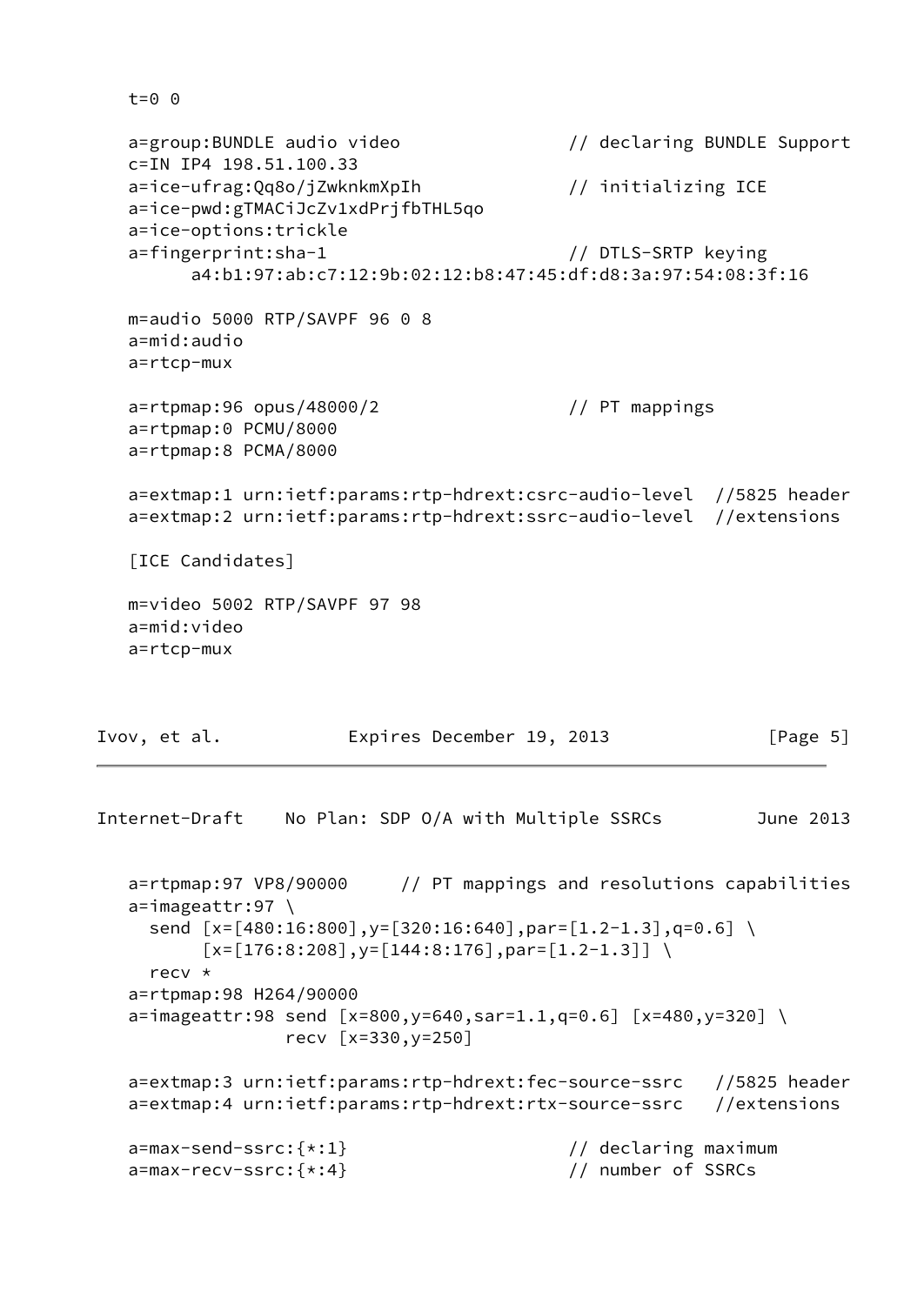```
 t=0 0
```

```
 a=group:BUNDLE audio video // declaring BUNDLE Support
   c=IN IP4 198.51.100.33
  a=ice-ufrag:Qq8o/jZwknkmXpIh // initializing ICE
   a=ice-pwd:gTMACiJcZv1xdPrjfbTHL5qo
   a=ice-options:trickle
   a=fingerprint:sha-1 // DTLS-SRTP keying
         a4:b1:97:ab:c7:12:9b:02:12:b8:47:45:df:d8:3a:97:54:08:3f:16
   m=audio 5000 RTP/SAVPF 96 0 8
   a=mid:audio
   a=rtcp-mux
   a=rtpmap:96 opus/48000/2 // PT mappings
   a=rtpmap:0 PCMU/8000
   a=rtpmap:8 PCMA/8000
   a=extmap:1 urn:ietf:params:rtp-hdrext:csrc-audio-level //5825 header
   a=extmap:2 urn:ietf:params:rtp-hdrext:ssrc-audio-level //extensions
   [ICE Candidates]
   m=video 5002 RTP/SAVPF 97 98
   a=mid:video
   a=rtcp-mux
Ivov, et al. Expires December 19, 2013 [Page 5]
```

```
Internet-Draft No Plan: SDP O/A with Multiple SSRCs June 2013
   a=rtpmap:97 VP8/90000 // PT mappings and resolutions capabilities
   a=imageattr:97 \
    send [x=[480:16:800], y=[320:16:640], par=[1.2-1.3], q=0.6][x=[176:8:208], y=[144:8:176], par=[1.2-1.3]] recv *
   a=rtpmap:98 H264/90000
  a = \text{imageattr}:98 \text{ send } [x=800, y=640, \text{sar}=1.1, q=0.6] [x=480,y=320] \
                  recv [x=330,y=250]
   a=extmap:3 urn:ietf:params:rtp-hdrext:fec-source-ssrc //5825 header
   a=extmap:4 urn:ietf:params:rtp-hdrext:rtx-source-ssrc //extensions
   a=max-send-ssrc:{*:1} // declaring maximum
   a=max-recv-ssrc:{*:4} // number of SSRCs
```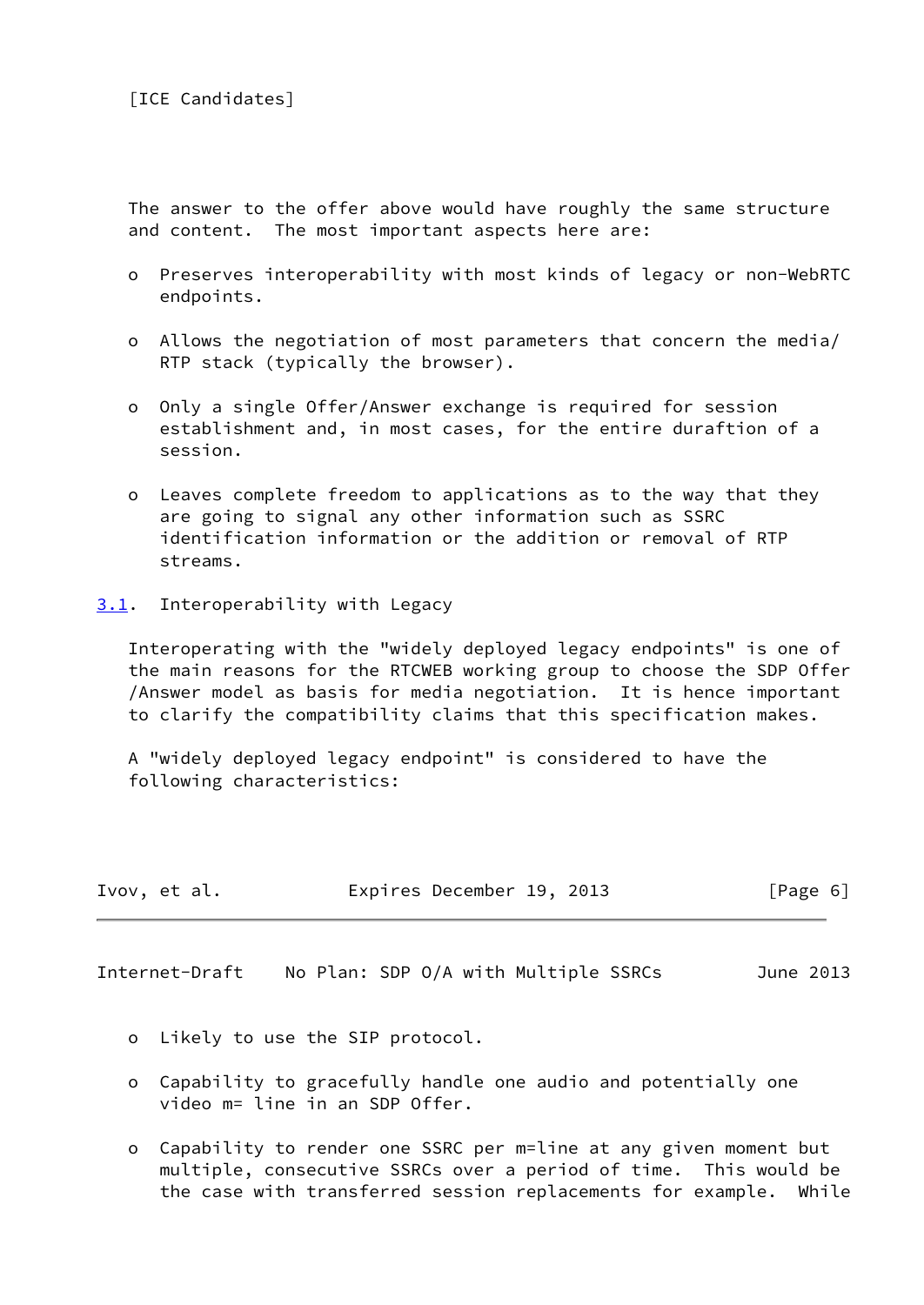The answer to the offer above would have roughly the same structure and content. The most important aspects here are:

- o Preserves interoperability with most kinds of legacy or non-WebRTC endpoints.
- o Allows the negotiation of most parameters that concern the media/ RTP stack (typically the browser).
- o Only a single Offer/Answer exchange is required for session establishment and, in most cases, for the entire duraftion of a session.
- o Leaves complete freedom to applications as to the way that they are going to signal any other information such as SSRC identification information or the addition or removal of RTP streams.
- <span id="page-6-0"></span>[3.1](#page-6-0). Interoperability with Legacy

 Interoperating with the "widely deployed legacy endpoints" is one of the main reasons for the RTCWEB working group to choose the SDP Offer /Answer model as basis for media negotiation. It is hence important to clarify the compatibility claims that this specification makes.

 A "widely deployed legacy endpoint" is considered to have the following characteristics:

| Ivov, et al. | Expires December 19, 2013 |  | [Page 6] |
|--------------|---------------------------|--|----------|
|--------------|---------------------------|--|----------|

Internet-Draft No Plan: SDP O/A with Multiple SSRCs June 2013

- o Likely to use the SIP protocol.
- o Capability to gracefully handle one audio and potentially one video m= line in an SDP Offer.
- o Capability to render one SSRC per m=line at any given moment but multiple, consecutive SSRCs over a period of time. This would be the case with transferred session replacements for example. While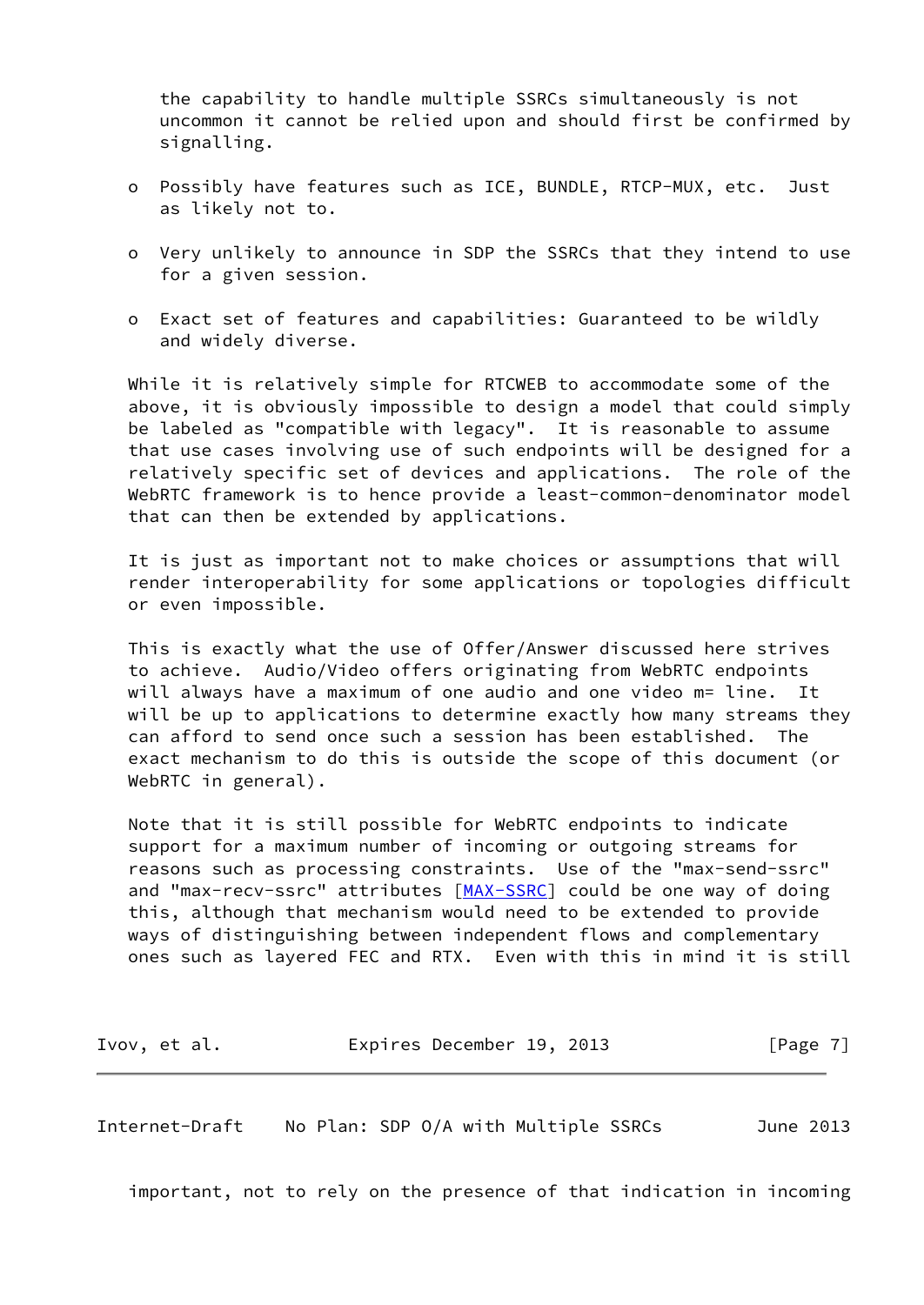the capability to handle multiple SSRCs simultaneously is not uncommon it cannot be relied upon and should first be confirmed by signalling.

- o Possibly have features such as ICE, BUNDLE, RTCP-MUX, etc. Just as likely not to.
- o Very unlikely to announce in SDP the SSRCs that they intend to use for a given session.
- o Exact set of features and capabilities: Guaranteed to be wildly and widely diverse.

 While it is relatively simple for RTCWEB to accommodate some of the above, it is obviously impossible to design a model that could simply be labeled as "compatible with legacy". It is reasonable to assume that use cases involving use of such endpoints will be designed for a relatively specific set of devices and applications. The role of the WebRTC framework is to hence provide a least-common-denominator model that can then be extended by applications.

 It is just as important not to make choices or assumptions that will render interoperability for some applications or topologies difficult or even impossible.

 This is exactly what the use of Offer/Answer discussed here strives to achieve. Audio/Video offers originating from WebRTC endpoints will always have a maximum of one audio and one video m= line. It will be up to applications to determine exactly how many streams they can afford to send once such a session has been established. The exact mechanism to do this is outside the scope of this document (or WebRTC in general).

 Note that it is still possible for WebRTC endpoints to indicate support for a maximum number of incoming or outgoing streams for reasons such as processing constraints. Use of the "max-send-ssrc" and "max-recv-ssrc" attributes [\[MAX-SSRC](#page-19-4)] could be one way of doing this, although that mechanism would need to be extended to provide ways of distinguishing between independent flows and complementary ones such as layered FEC and RTX. Even with this in mind it is still

Ivov, et al. Expires December 19, 2013 [Page 7]

<span id="page-7-0"></span>Internet-Draft No Plan: SDP O/A with Multiple SSRCs June 2013

important, not to rely on the presence of that indication in incoming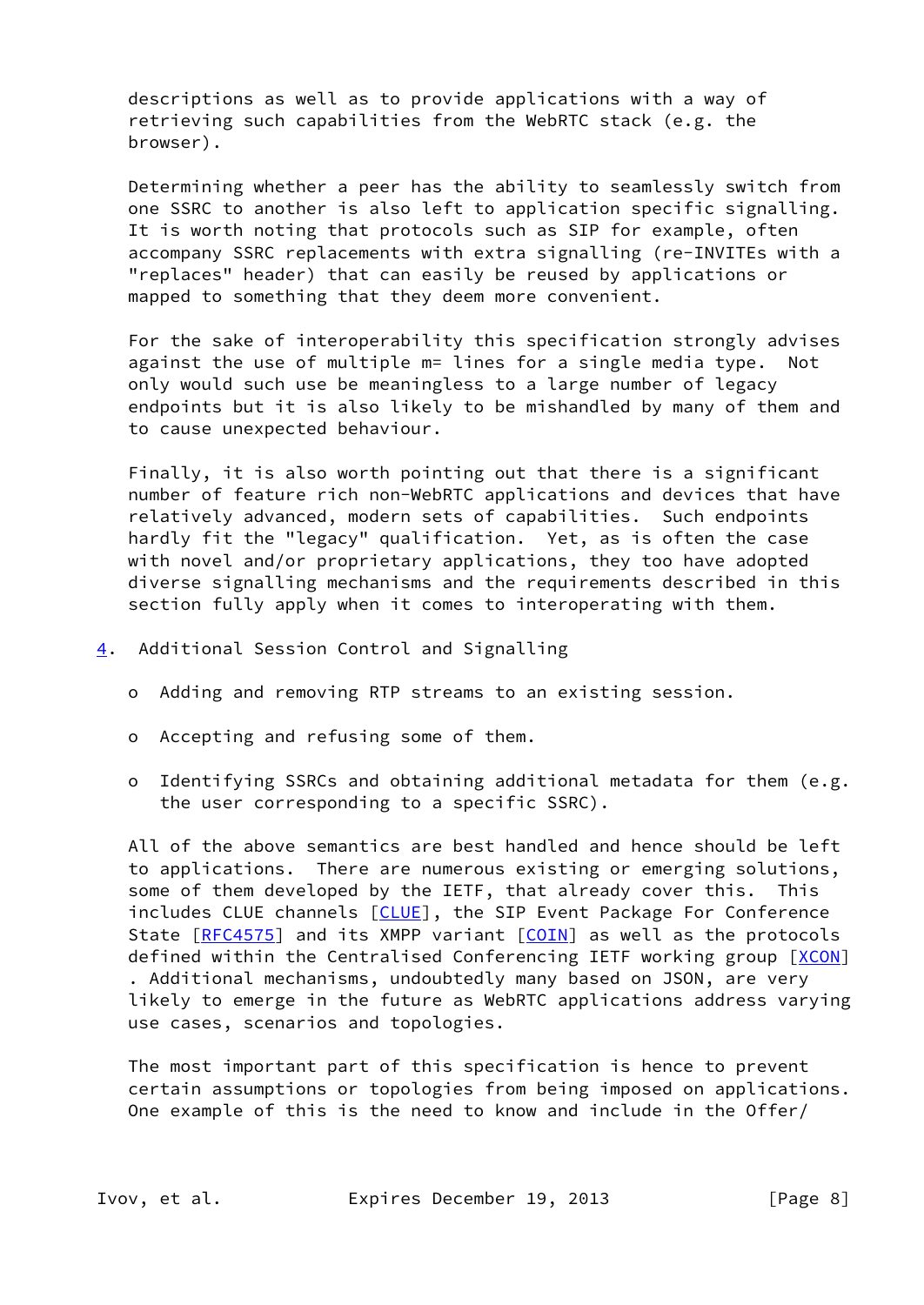descriptions as well as to provide applications with a way of retrieving such capabilities from the WebRTC stack (e.g. the browser).

 Determining whether a peer has the ability to seamlessly switch from one SSRC to another is also left to application specific signalling. It is worth noting that protocols such as SIP for example, often accompany SSRC replacements with extra signalling (re-INVITEs with a "replaces" header) that can easily be reused by applications or mapped to something that they deem more convenient.

 For the sake of interoperability this specification strongly advises against the use of multiple m= lines for a single media type. Not only would such use be meaningless to a large number of legacy endpoints but it is also likely to be mishandled by many of them and to cause unexpected behaviour.

 Finally, it is also worth pointing out that there is a significant number of feature rich non-WebRTC applications and devices that have relatively advanced, modern sets of capabilities. Such endpoints hardly fit the "legacy" qualification. Yet, as is often the case with novel and/or proprietary applications, they too have adopted diverse signalling mechanisms and the requirements described in this section fully apply when it comes to interoperating with them.

- <span id="page-8-0"></span>[4](#page-8-0). Additional Session Control and Signalling
	- o Adding and removing RTP streams to an existing session.
	- o Accepting and refusing some of them.
	- o Identifying SSRCs and obtaining additional metadata for them (e.g. the user corresponding to a specific SSRC).

 All of the above semantics are best handled and hence should be left to applications. There are numerous existing or emerging solutions, some of them developed by the IETF, that already cover this. This includes CLUE channels [\[CLUE](#page-19-5)], the SIP Event Package For Conference State [[RFC4575](https://datatracker.ietf.org/doc/pdf/rfc4575)] and its XMPP variant [\[COIN](#page-19-6)] as well as the protocols defined within the Centralised Conferencing IETF working group [\[XCON](#page-21-2)] . Additional mechanisms, undoubtedly many based on JSON, are very likely to emerge in the future as WebRTC applications address varying use cases, scenarios and topologies.

 The most important part of this specification is hence to prevent certain assumptions or topologies from being imposed on applications. One example of this is the need to know and include in the Offer/

Ivov, et al. **Expires December 19, 2013** [Page 8]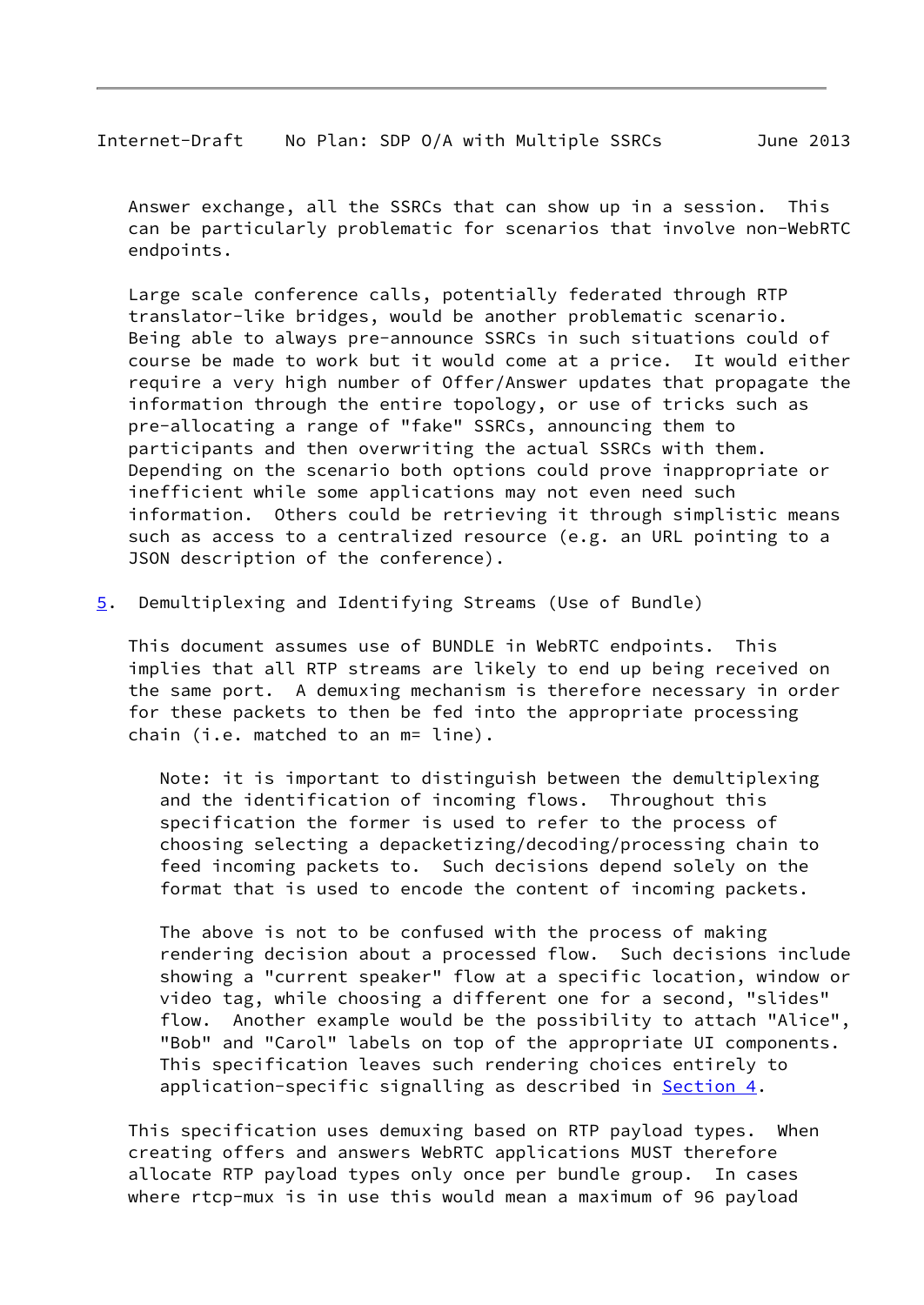<span id="page-9-0"></span>Internet-Draft No Plan: SDP O/A with Multiple SSRCs June 2013

 Answer exchange, all the SSRCs that can show up in a session. This can be particularly problematic for scenarios that involve non-WebRTC endpoints.

 Large scale conference calls, potentially federated through RTP translator-like bridges, would be another problematic scenario. Being able to always pre-announce SSRCs in such situations could of course be made to work but it would come at a price. It would either require a very high number of Offer/Answer updates that propagate the information through the entire topology, or use of tricks such as pre-allocating a range of "fake" SSRCs, announcing them to participants and then overwriting the actual SSRCs with them. Depending on the scenario both options could prove inappropriate or inefficient while some applications may not even need such information. Others could be retrieving it through simplistic means such as access to a centralized resource (e.g. an URL pointing to a JSON description of the conference).

<span id="page-9-1"></span>[5](#page-9-1). Demultiplexing and Identifying Streams (Use of Bundle)

 This document assumes use of BUNDLE in WebRTC endpoints. This implies that all RTP streams are likely to end up being received on the same port. A demuxing mechanism is therefore necessary in order for these packets to then be fed into the appropriate processing chain (i.e. matched to an m= line).

 Note: it is important to distinguish between the demultiplexing and the identification of incoming flows. Throughout this specification the former is used to refer to the process of choosing selecting a depacketizing/decoding/processing chain to feed incoming packets to. Such decisions depend solely on the format that is used to encode the content of incoming packets.

 The above is not to be confused with the process of making rendering decision about a processed flow. Such decisions include showing a "current speaker" flow at a specific location, window or video tag, while choosing a different one for a second, "slides" flow. Another example would be the possibility to attach "Alice", "Bob" and "Carol" labels on top of the appropriate UI components. This specification leaves such rendering choices entirely to application-specific signalling as described in [Section 4.](#page-8-0)

 This specification uses demuxing based on RTP payload types. When creating offers and answers WebRTC applications MUST therefore allocate RTP payload types only once per bundle group. In cases where rtcp-mux is in use this would mean a maximum of 96 payload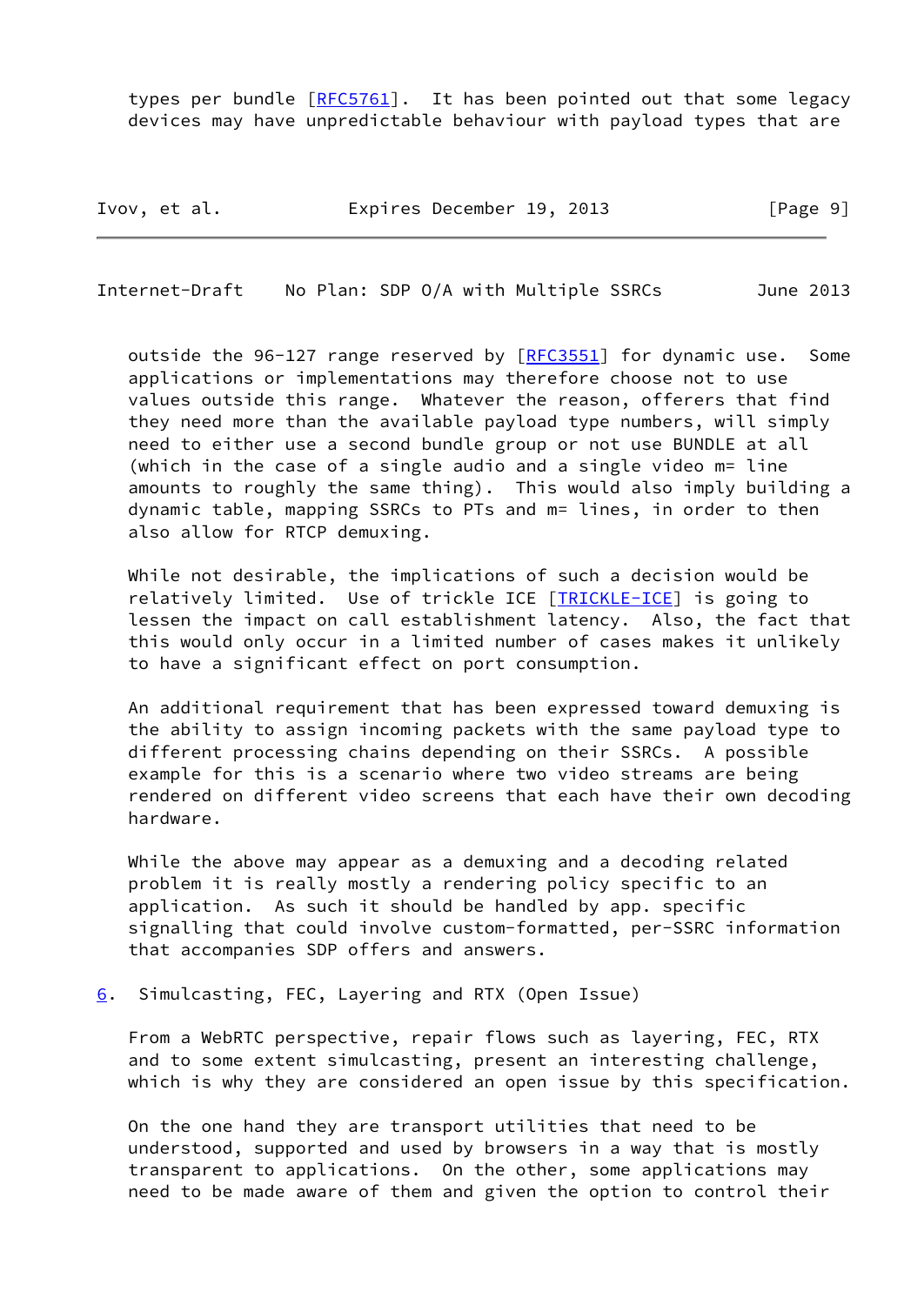types per bundle [\[RFC5761](https://datatracker.ietf.org/doc/pdf/rfc5761)]. It has been pointed out that some legacy devices may have unpredictable behaviour with payload types that are

Ivov, et al. Expires December 19, 2013 [Page 9]

<span id="page-10-1"></span>Internet-Draft No Plan: SDP O/A with Multiple SSRCs June 2013

outside the 96-127 range reserved by [\[RFC3551](https://datatracker.ietf.org/doc/pdf/rfc3551)] for dynamic use. Some applications or implementations may therefore choose not to use values outside this range. Whatever the reason, offerers that find they need more than the available payload type numbers, will simply need to either use a second bundle group or not use BUNDLE at all (which in the case of a single audio and a single video m= line amounts to roughly the same thing). This would also imply building a dynamic table, mapping SSRCs to PTs and m= lines, in order to then also allow for RTCP demuxing.

 While not desirable, the implications of such a decision would be relatively limited. Use of trickle ICE [\[TRICKLE-ICE](#page-21-3)] is going to lessen the impact on call establishment latency. Also, the fact that this would only occur in a limited number of cases makes it unlikely to have a significant effect on port consumption.

 An additional requirement that has been expressed toward demuxing is the ability to assign incoming packets with the same payload type to different processing chains depending on their SSRCs. A possible example for this is a scenario where two video streams are being rendered on different video screens that each have their own decoding hardware.

 While the above may appear as a demuxing and a decoding related problem it is really mostly a rendering policy specific to an application. As such it should be handled by app. specific signalling that could involve custom-formatted, per-SSRC information that accompanies SDP offers and answers.

<span id="page-10-0"></span>[6](#page-10-0). Simulcasting, FEC, Layering and RTX (Open Issue)

 From a WebRTC perspective, repair flows such as layering, FEC, RTX and to some extent simulcasting, present an interesting challenge, which is why they are considered an open issue by this specification.

 On the one hand they are transport utilities that need to be understood, supported and used by browsers in a way that is mostly transparent to applications. On the other, some applications may need to be made aware of them and given the option to control their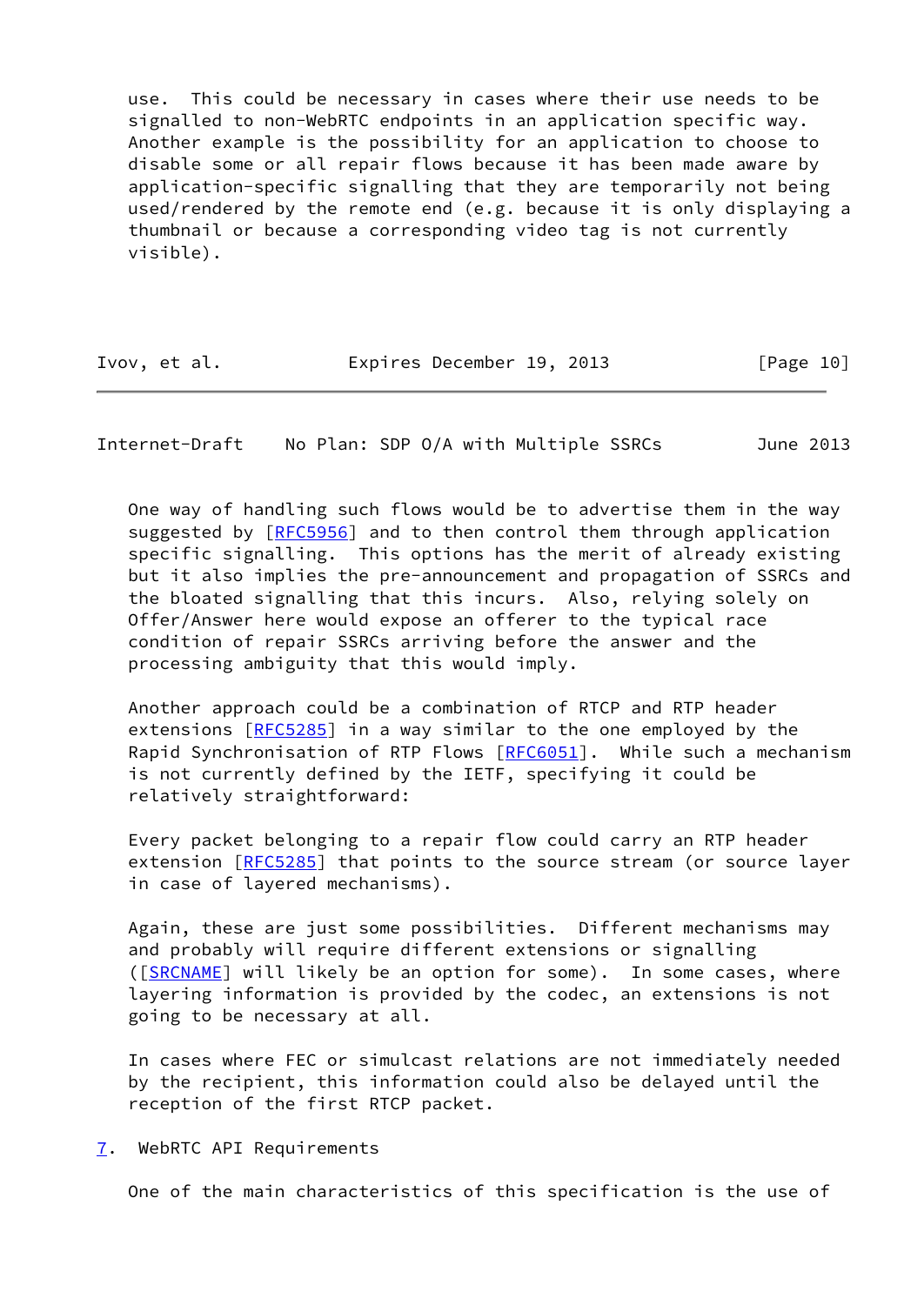use. This could be necessary in cases where their use needs to be signalled to non-WebRTC endpoints in an application specific way. Another example is the possibility for an application to choose to disable some or all repair flows because it has been made aware by application-specific signalling that they are temporarily not being used/rendered by the remote end (e.g. because it is only displaying a thumbnail or because a corresponding video tag is not currently visible).

| Ivov, et al. | Expires December 19, 2013 | [Page 10] |
|--------------|---------------------------|-----------|
|--------------|---------------------------|-----------|

<span id="page-11-1"></span>Internet-Draft No Plan: SDP O/A with Multiple SSRCs June 2013

 One way of handling such flows would be to advertise them in the way suggested by [\[RFC5956](https://datatracker.ietf.org/doc/pdf/rfc5956)] and to then control them through application specific signalling. This options has the merit of already existing but it also implies the pre-announcement and propagation of SSRCs and the bloated signalling that this incurs. Also, relying solely on Offer/Answer here would expose an offerer to the typical race condition of repair SSRCs arriving before the answer and the processing ambiguity that this would imply.

 Another approach could be a combination of RTCP and RTP header extensions [[RFC5285\]](https://datatracker.ietf.org/doc/pdf/rfc5285) in a way similar to the one employed by the Rapid Synchronisation of RTP Flows [[RFC6051\]](https://datatracker.ietf.org/doc/pdf/rfc6051). While such a mechanism is not currently defined by the IETF, specifying it could be relatively straightforward:

 Every packet belonging to a repair flow could carry an RTP header extension [[RFC5285](https://datatracker.ietf.org/doc/pdf/rfc5285)] that points to the source stream (or source layer in case of layered mechanisms).

 Again, these are just some possibilities. Different mechanisms may and probably will require different extensions or signalling ([\[SRCNAME](#page-21-4)] will likely be an option for some). In some cases, where layering information is provided by the codec, an extensions is not going to be necessary at all.

 In cases where FEC or simulcast relations are not immediately needed by the recipient, this information could also be delayed until the reception of the first RTCP packet.

<span id="page-11-0"></span>[7](#page-11-0). WebRTC API Requirements

One of the main characteristics of this specification is the use of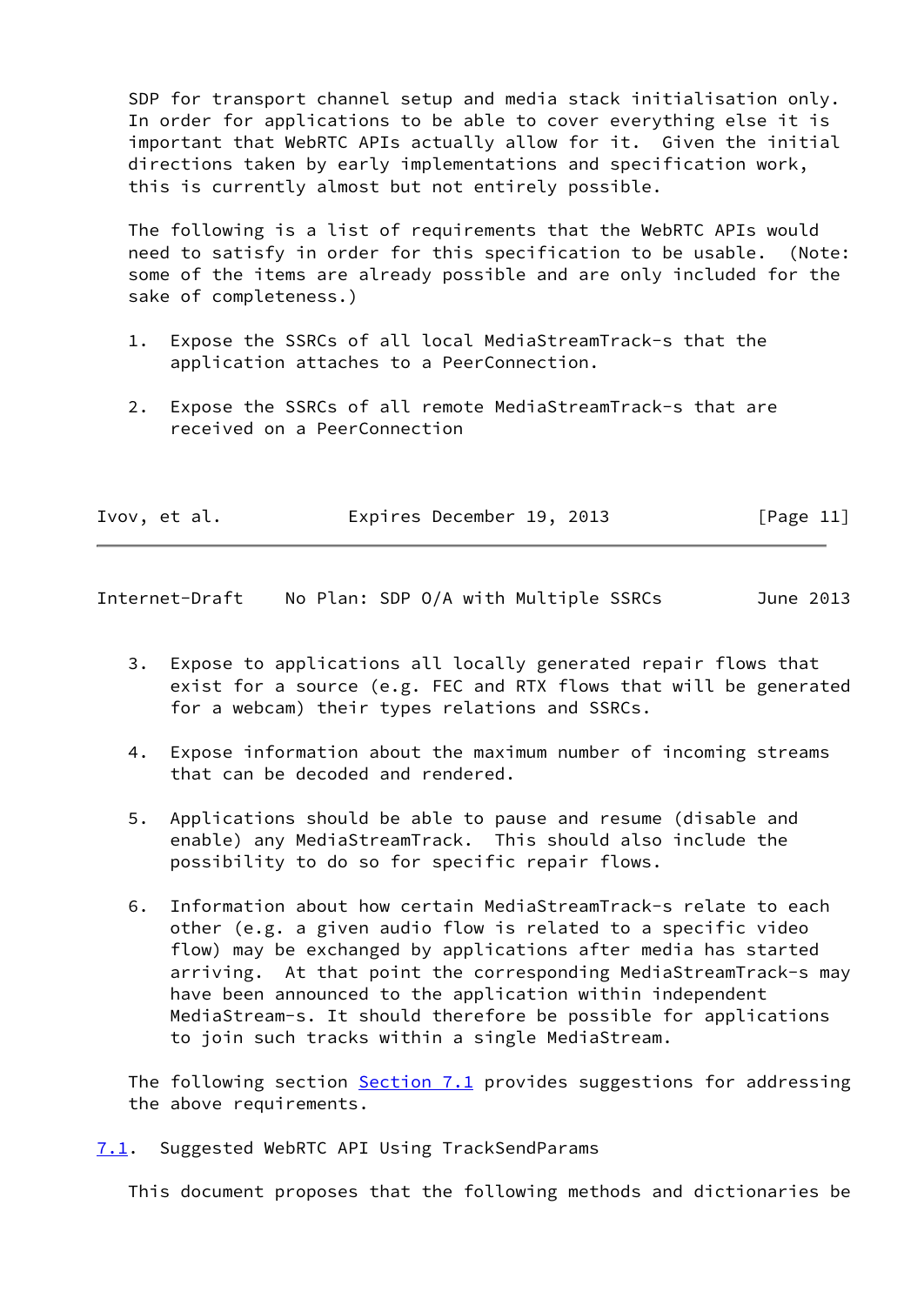SDP for transport channel setup and media stack initialisation only. In order for applications to be able to cover everything else it is important that WebRTC APIs actually allow for it. Given the initial directions taken by early implementations and specification work, this is currently almost but not entirely possible.

 The following is a list of requirements that the WebRTC APIs would need to satisfy in order for this specification to be usable. (Note: some of the items are already possible and are only included for the sake of completeness.)

- 1. Expose the SSRCs of all local MediaStreamTrack-s that the application attaches to a PeerConnection.
- 2. Expose the SSRCs of all remote MediaStreamTrack-s that are received on a PeerConnection

| Ivov, et al. | Expires December 19, 2013 |  | [Page 11] |
|--------------|---------------------------|--|-----------|
|--------------|---------------------------|--|-----------|

<span id="page-12-1"></span>Internet-Draft No Plan: SDP O/A with Multiple SSRCs June 2013

- 3. Expose to applications all locally generated repair flows that exist for a source (e.g. FEC and RTX flows that will be generated for a webcam) their types relations and SSRCs.
- 4. Expose information about the maximum number of incoming streams that can be decoded and rendered.
- 5. Applications should be able to pause and resume (disable and enable) any MediaStreamTrack. This should also include the possibility to do so for specific repair flows.
- 6. Information about how certain MediaStreamTrack-s relate to each other (e.g. a given audio flow is related to a specific video flow) may be exchanged by applications after media has started arriving. At that point the corresponding MediaStreamTrack-s may have been announced to the application within independent MediaStream-s. It should therefore be possible for applications to join such tracks within a single MediaStream.

The following section [Section 7.1](#page-12-0) provides suggestions for addressing the above requirements.

<span id="page-12-0"></span>[7.1](#page-12-0). Suggested WebRTC API Using TrackSendParams

This document proposes that the following methods and dictionaries be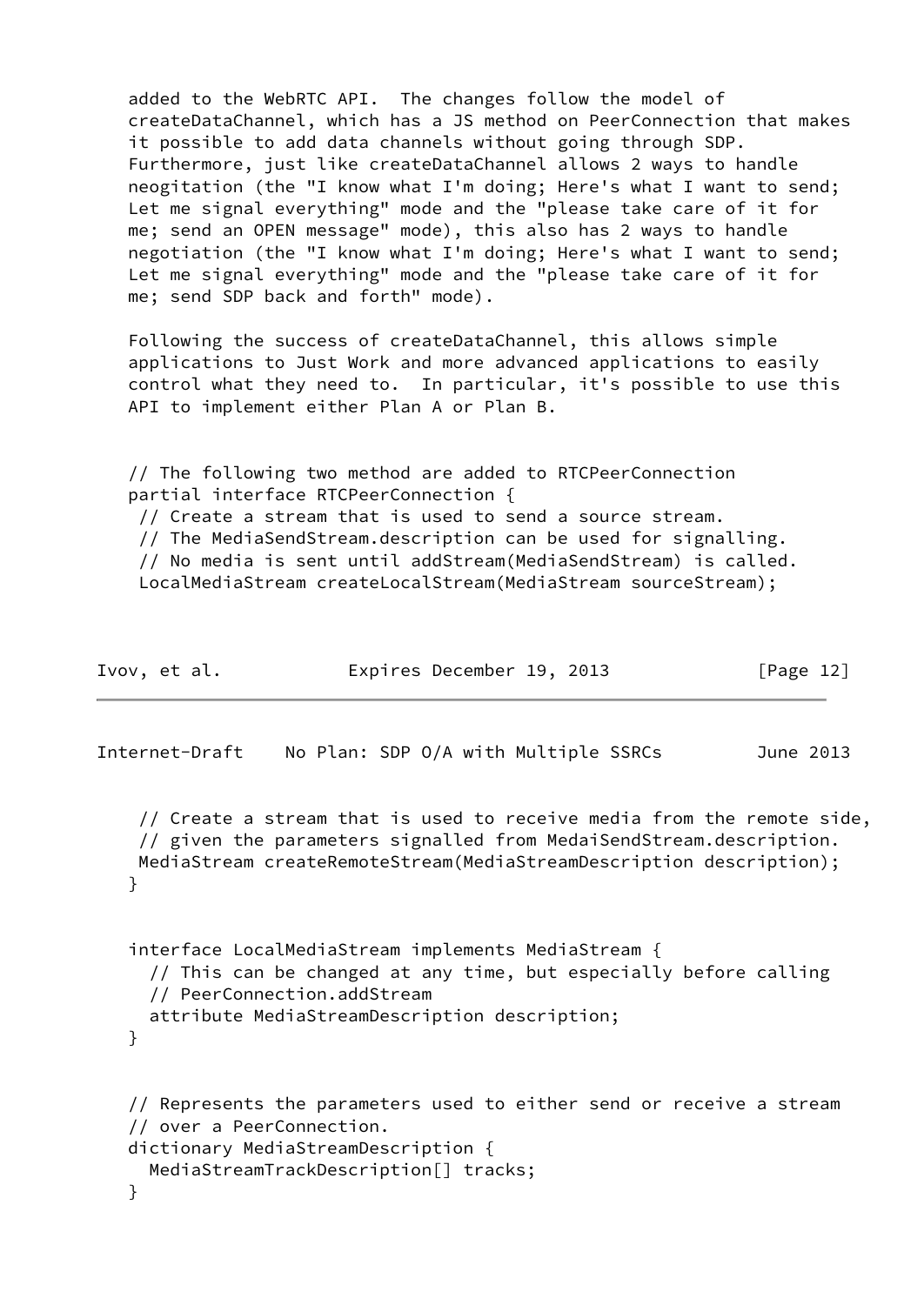|                                     | added to the WebRTC API. The changes follow the model of<br>createDataChannel, which has a JS method on PeerConnection that makes                                                                                                                        |              |
|-------------------------------------|----------------------------------------------------------------------------------------------------------------------------------------------------------------------------------------------------------------------------------------------------------|--------------|
|                                     | it possible to add data channels without going through SDP.                                                                                                                                                                                              |              |
|                                     | Furthermore, just like createDataChannel allows 2 ways to handle<br>neogitation (the "I know what I'm doing; Here's what I want to send;                                                                                                                 |              |
|                                     | Let me signal everything" mode and the "please take care of it for<br>me; send an OPEN message" mode), this also has 2 ways to handle                                                                                                                    |              |
|                                     | negotiation (the "I know what I'm doing; Here's what I want to send;<br>Let me signal everything" mode and the "please take care of it for                                                                                                               |              |
| me; send SDP back and forth" mode). |                                                                                                                                                                                                                                                          |              |
|                                     | Following the success of createDataChannel, this allows simple<br>applications to Just Work and more advanced applications to easily<br>control what they need to. In particular, it's possible to use this<br>API to implement either Plan A or Plan B. |              |
|                                     | // The following two method are added to RTCPeerConnection                                                                                                                                                                                               |              |
|                                     | partial interface RTCPeerConnection {<br>// Create a stream that is used to send a source stream.                                                                                                                                                        |              |
|                                     | // The MediaSendStream.description can be used for signalling.                                                                                                                                                                                           |              |
|                                     | // No media is sent until addStream(MediaSendStream) is called.<br>LocalMediaStream createLocalStream(MediaStream sourceStream);                                                                                                                         |              |
|                                     |                                                                                                                                                                                                                                                          |              |
| Ivov, et al.                        | Expires December 19, 2013                                                                                                                                                                                                                                | [Page $12$ ] |

Internet-Draft No Plan: SDP O/A with Multiple SSRCs June 2013

 // Create a stream that is used to receive media from the remote side, // given the parameters signalled from MedaiSendStream.description. MediaStream createRemoteStream(MediaStreamDescription description); }

 interface LocalMediaStream implements MediaStream { // This can be changed at any time, but especially before calling // PeerConnection.addStream attribute MediaStreamDescription description; }

```
 // Represents the parameters used to either send or receive a stream
 // over a PeerConnection.
 dictionary MediaStreamDescription {
   MediaStreamTrackDescription[] tracks;
 }
```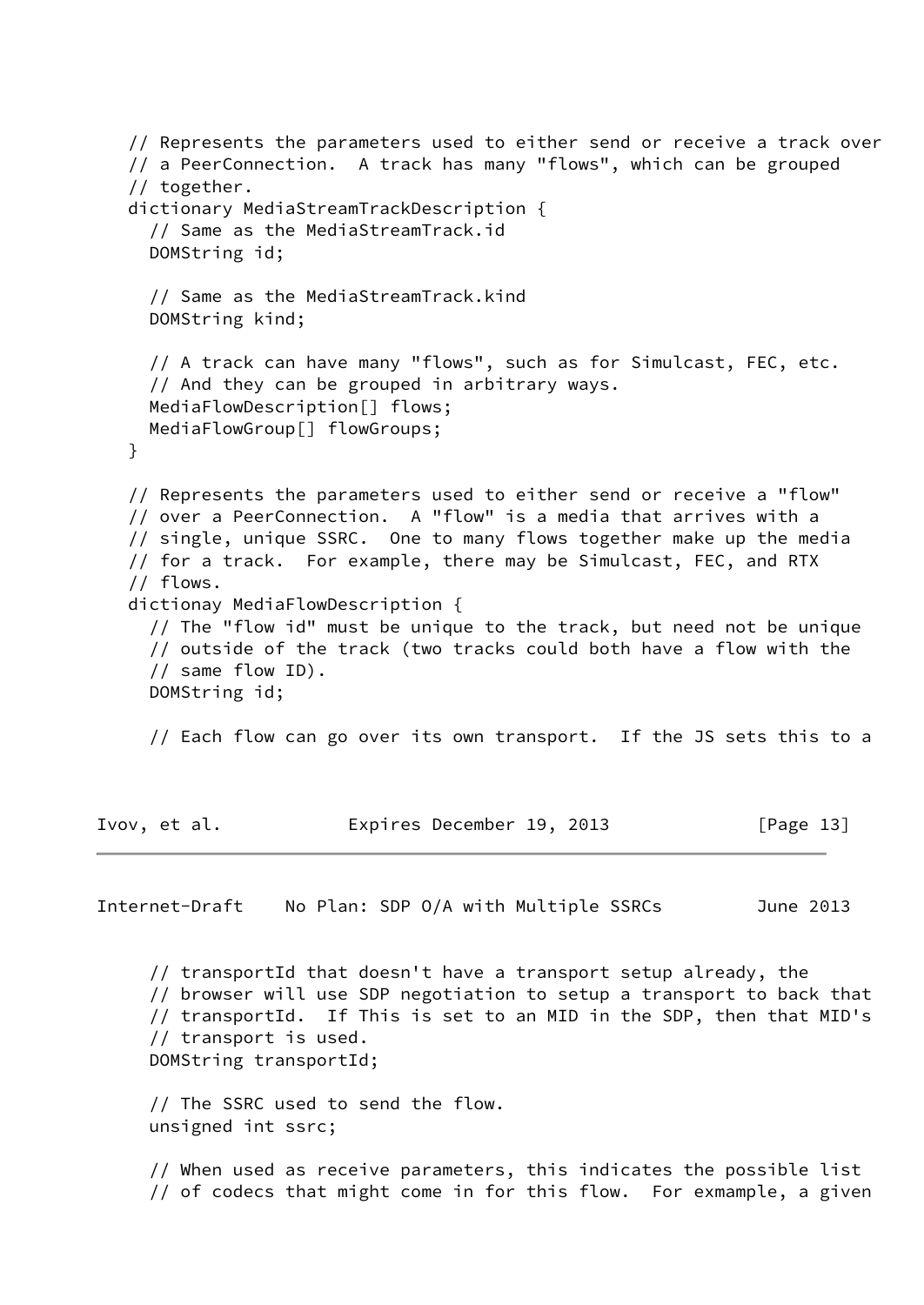```
 // Represents the parameters used to either send or receive a track over
    // a PeerConnection. A track has many "flows", which can be grouped
    // together.
    dictionary MediaStreamTrackDescription {
      // Same as the MediaStreamTrack.id
      DOMString id;
      // Same as the MediaStreamTrack.kind
      DOMString kind;
      // A track can have many "flows", such as for Simulcast, FEC, etc.
      // And they can be grouped in arbitrary ways.
      MediaFlowDescription[] flows;
      MediaFlowGroup[] flowGroups;
    }
    // Represents the parameters used to either send or receive a "flow"
    // over a PeerConnection. A "flow" is a media that arrives with a
    // single, unique SSRC. One to many flows together make up the media
    // for a track. For example, there may be Simulcast, FEC, and RTX
    // flows.
    dictionay MediaFlowDescription {
      // The "flow id" must be unique to the track, but need not be unique
      // outside of the track (two tracks could both have a flow with the
      // same flow ID).
      DOMString id;
      // Each flow can go over its own transport. If the JS sets this to a
Ivov, et al. Expires December 19, 2013 [Page 13]
Internet-Draft No Plan: SDP O/A with Multiple SSRCs June 2013
      // transportId that doesn't have a transport setup already, the
```
 // browser will use SDP negotiation to setup a transport to back that // transportId. If This is set to an MID in the SDP, then that MID's // transport is used. DOMString transportId;

 // The SSRC used to send the flow. unsigned int ssrc;

 // When used as receive parameters, this indicates the possible list // of codecs that might come in for this flow. For exmample, a given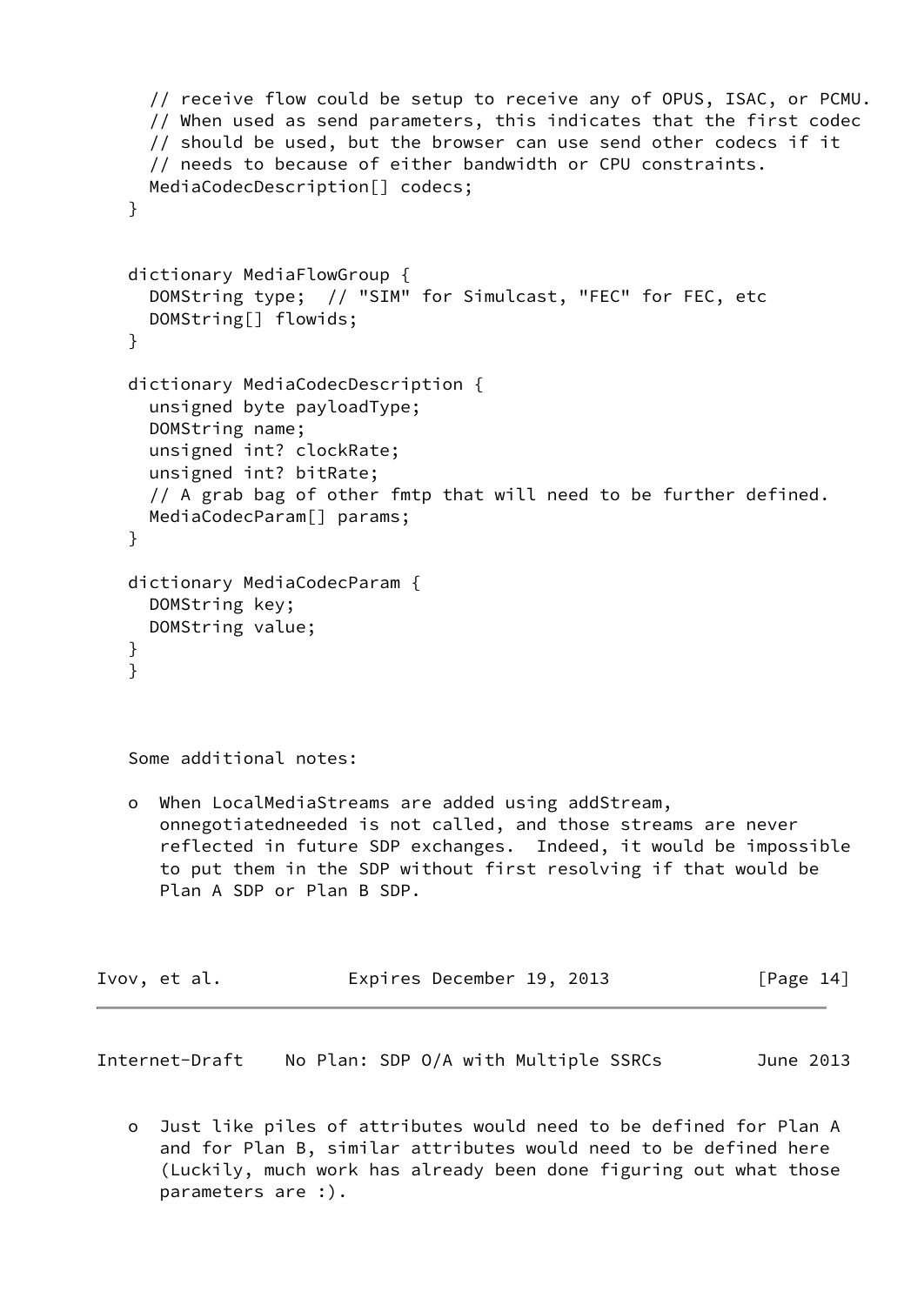```
 // receive flow could be setup to receive any of OPUS, ISAC, or PCMU.
      // When used as send parameters, this indicates that the first codec
      // should be used, but the browser can use send other codecs if it
      // needs to because of either bandwidth or CPU constraints.
     MediaCodecDescription[] codecs;
    }
   dictionary MediaFlowGroup {
      DOMString type; // "SIM" for Simulcast, "FEC" for FEC, etc
      DOMString[] flowids;
    }
    dictionary MediaCodecDescription {
      unsigned byte payloadType;
      DOMString name;
      unsigned int? clockRate;
      unsigned int? bitRate;
      // A grab bag of other fmtp that will need to be further defined.
     MediaCodecParam[] params;
    }
    dictionary MediaCodecParam {
     DOMString key;
     DOMString value;
    }
    }
    Some additional notes:
    o When LocalMediaStreams are added using addStream,
      onnegotiatedneeded is not called, and those streams are never
       reflected in future SDP exchanges. Indeed, it would be impossible
       to put them in the SDP without first resolving if that would be
       Plan A SDP or Plan B SDP.
Ivov, et al. Expires December 19, 2013 [Page 14]
```
<span id="page-15-0"></span>Internet-Draft No Plan: SDP O/A with Multiple SSRCs June 2013

 o Just like piles of attributes would need to be defined for Plan A and for Plan B, similar attributes would need to be defined here (Luckily, much work has already been done figuring out what those parameters are :).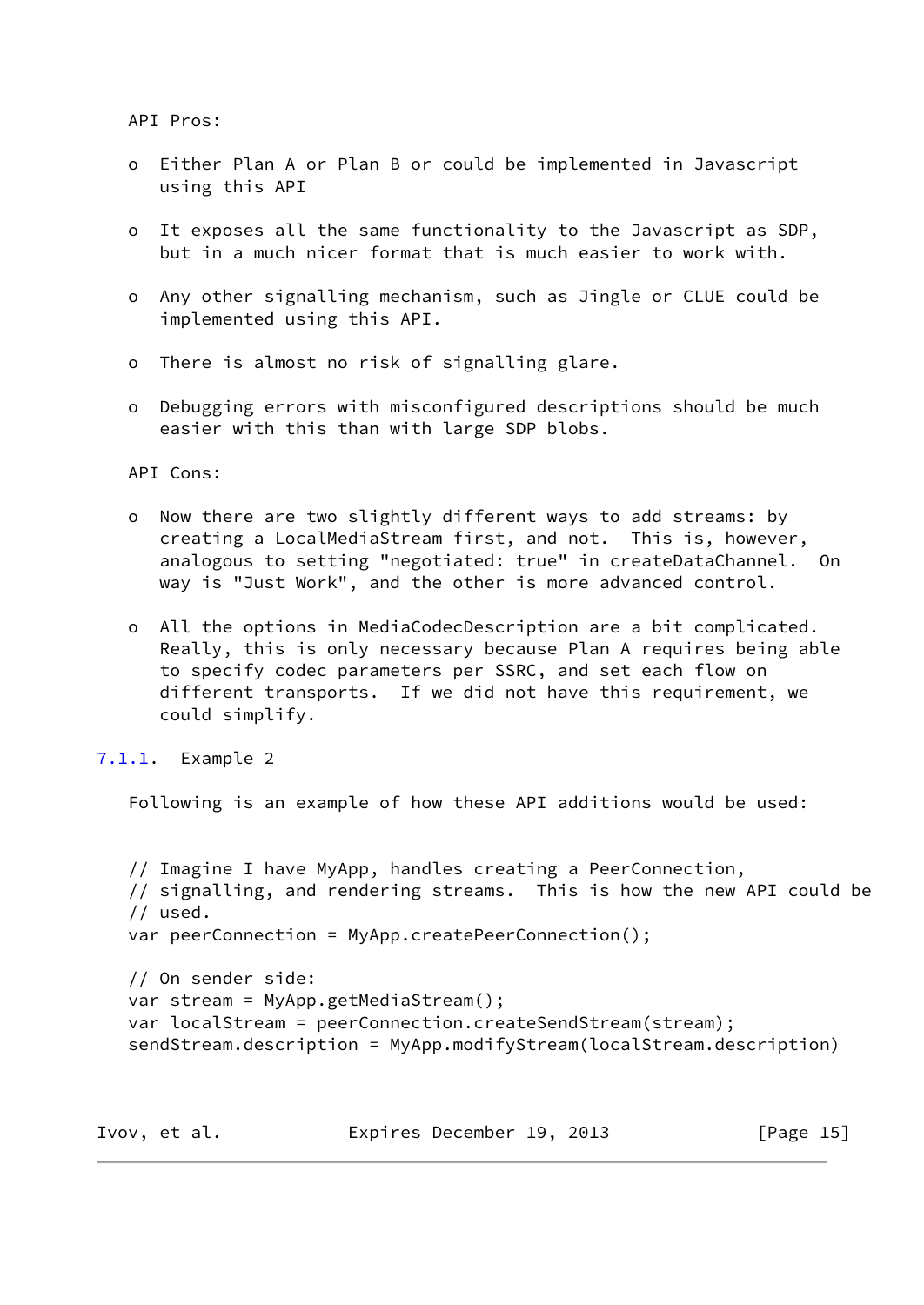API Pros:

- o Either Plan A or Plan B or could be implemented in Javascript using this API
- o It exposes all the same functionality to the Javascript as SDP, but in a much nicer format that is much easier to work with.
- o Any other signalling mechanism, such as Jingle or CLUE could be implemented using this API.
- o There is almost no risk of signalling glare.
- o Debugging errors with misconfigured descriptions should be much easier with this than with large SDP blobs.

API Cons:

- o Now there are two slightly different ways to add streams: by creating a LocalMediaStream first, and not. This is, however, analogous to setting "negotiated: true" in createDataChannel. On way is "Just Work", and the other is more advanced control.
- o All the options in MediaCodecDescription are a bit complicated. Really, this is only necessary because Plan A requires being able to specify codec parameters per SSRC, and set each flow on different transports. If we did not have this requirement, we could simplify.

<span id="page-16-0"></span>[7.1.1](#page-16-0). Example 2

Following is an example of how these API additions would be used:

```
 // Imagine I have MyApp, handles creating a PeerConnection,
 // signalling, and rendering streams. This is how the new API could be
 // used.
 var peerConnection = MyApp.createPeerConnection();
 // On sender side:
 var stream = MyApp.getMediaStream();
 var localStream = peerConnection.createSendStream(stream);
 sendStream.description = MyApp.modifyStream(localStream.description)
```
Ivov, et al. Expires December 19, 2013 [Page 15]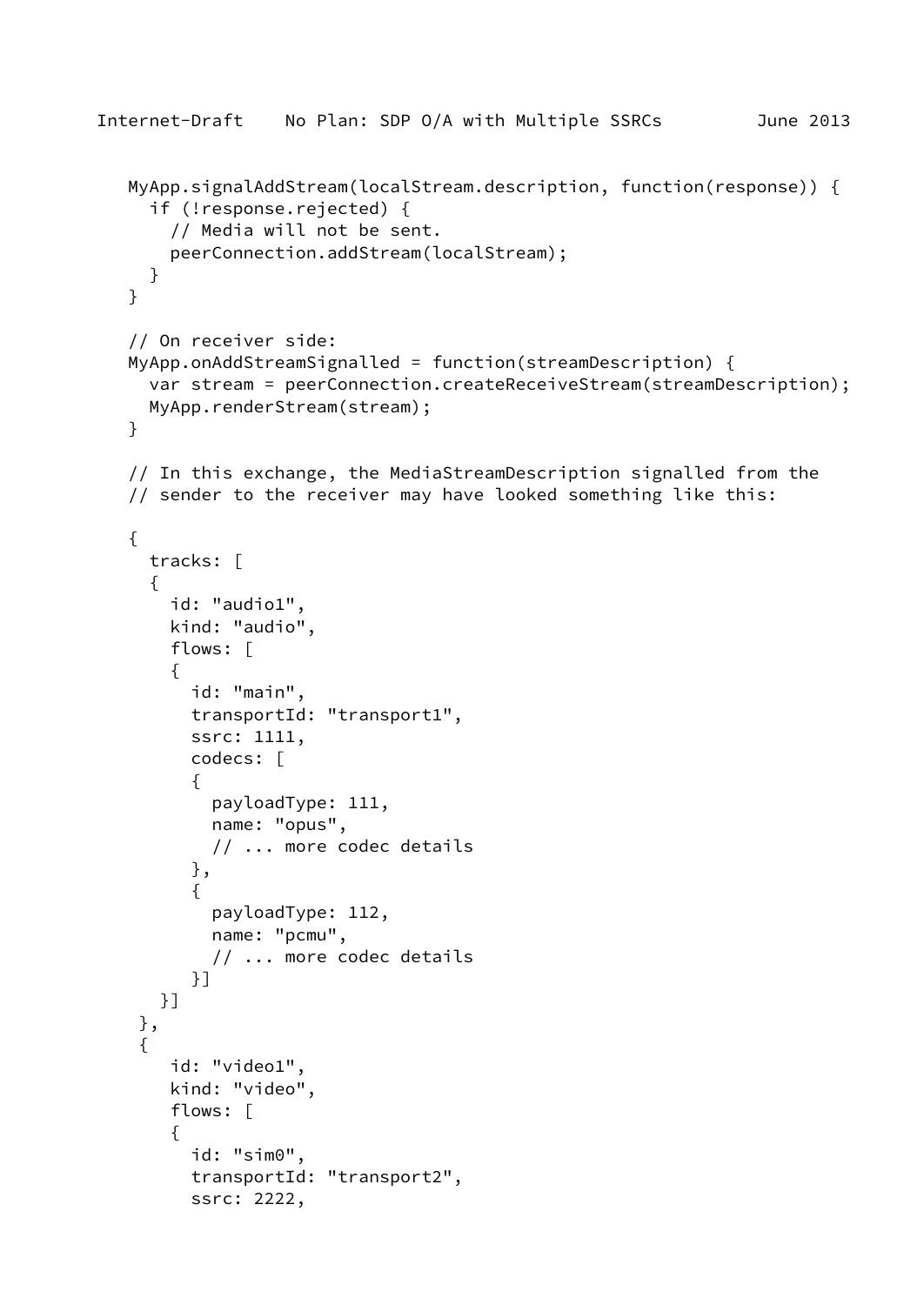```
Internet-Draft No Plan: SDP O/A with Multiple SSRCs June 2013
    MyApp.signalAddStream(localStream.description, function(response)) {
      if (!response.rejected) {
        // Media will not be sent.
        peerConnection.addStream(localStream);
      }
    }
    // On receiver side:
    MyApp.onAddStreamSignalled = function(streamDescription) {
      var stream = peerConnection.createReceiveStream(streamDescription);
      MyApp.renderStream(stream);
    }
    // In this exchange, the MediaStreamDescription signalled from the
    // sender to the receiver may have looked something like this:
    {
      tracks: [
      {
        id: "audio1",
        kind: "audio",
        flows: [
        {
          id: "main",
          transportId: "transport1",
          ssrc: 1111,
          codecs: [
\{ payloadType: 111,
            name: "opus",
            // ... more codec details
          },
\{ payloadType: 112,
            name: "pcmu",
            // ... more codec details
          }]
       }]
     },
     {
        id: "video1",
        kind: "video",
        flows: [
        {
          id: "sim0",
          transportId: "transport2",
          ssrc: 2222,
```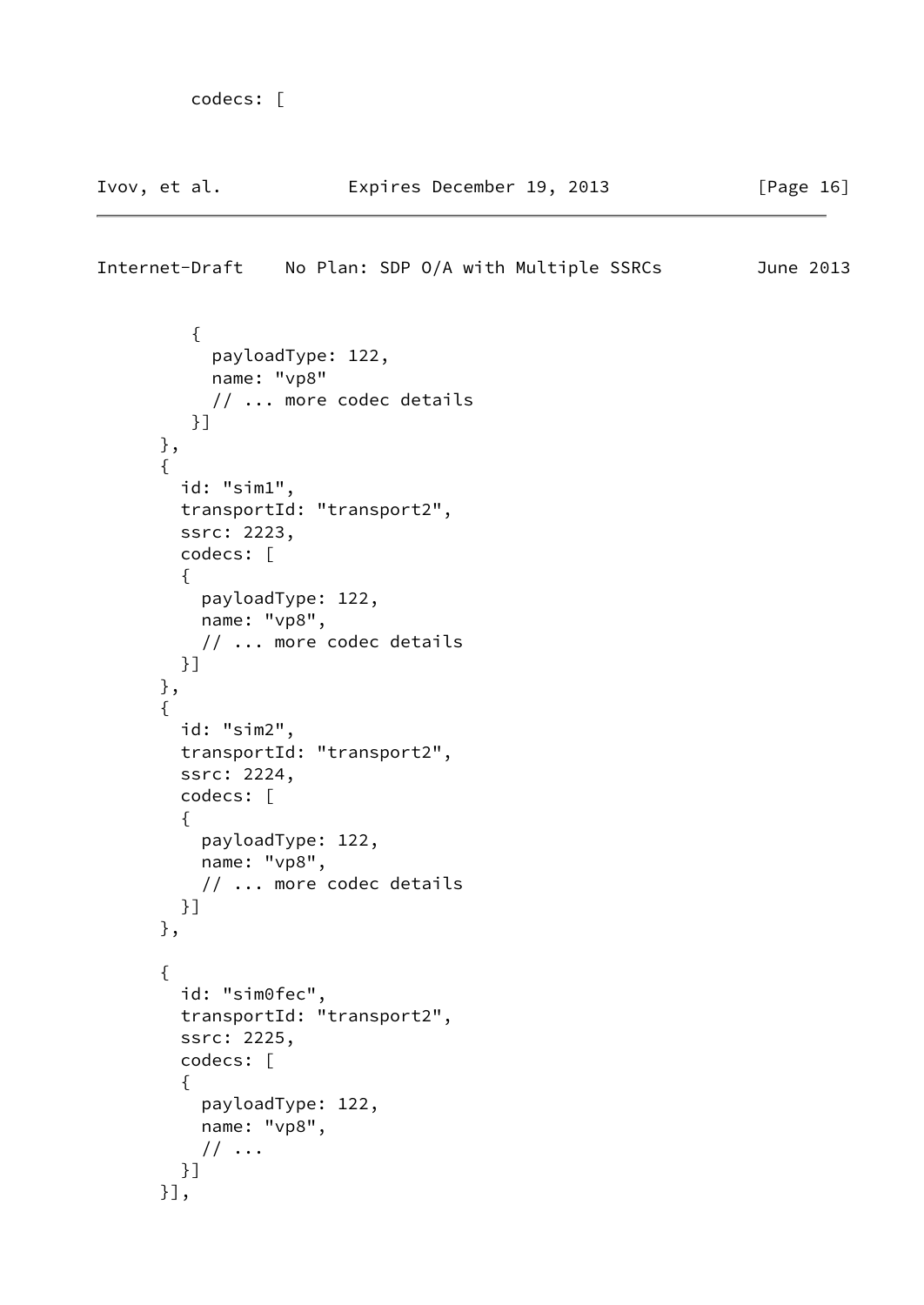```
 codecs: [
Ivov, et al. Expires December 19, 2013 [Page 16]
Internet-Draft No Plan: SDP O/A with Multiple SSRCs June 2013
         {
           payloadType: 122,
           name: "vp8"
           // ... more codec details
         }]
      },
       {
        id: "sim1",
        transportId: "transport2",
        ssrc: 2223,
        codecs: [
        {
          payloadType: 122,
          name: "vp8",
          // ... more codec details
        }]
      },
       {
        id: "sim2",
        transportId: "transport2",
```

```
 },
 {
   id: "sim0fec",
   transportId: "transport2",
   ssrc: 2225,
   codecs: [
   {
     payloadType: 122,
    name: "vp8",
     // ...
   }]
 }],
```
payloadType: 122,

// ... more codec details

name: "vp8",

 ssrc: 2224, codecs: [

{

}]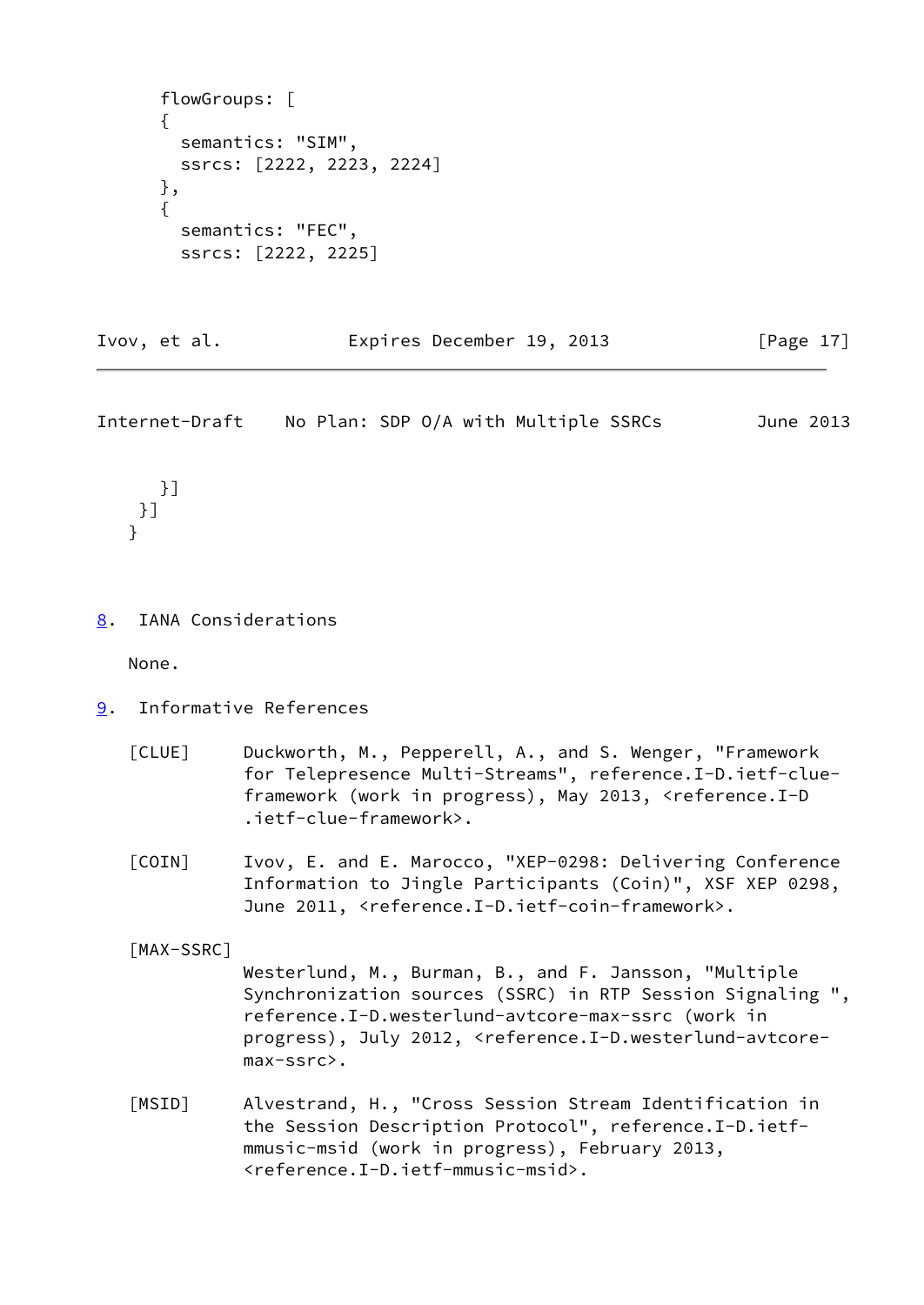```
 flowGroups: [
 {
   semantics: "SIM",
   ssrcs: [2222, 2223, 2224]
 },
 {
   semantics: "FEC",
   ssrcs: [2222, 2225]
```
Ivov, et al. Expires December 19, 2013 [Page 17]

<span id="page-19-1"></span>Internet-Draft No Plan: SDP O/A with Multiple SSRCs June 2013

 }] }] }

<span id="page-19-0"></span>[8](#page-19-0). IANA Considerations

None.

- <span id="page-19-5"></span><span id="page-19-2"></span>[9](#page-19-2). Informative References
	- [CLUE] Duckworth, M., Pepperell, A., and S. Wenger, "Framework for Telepresence Multi-Streams", reference.I-D.ietf-clue framework (work in progress), May 2013, <reference.I-D .ietf-clue-framework>.
	- [COIN] Ivov, E. and E. Marocco, "XEP-0298: Delivering Conference Information to Jingle Participants (Coin)", XSF XEP 0298, June 2011, <reference.I-D.ietf-coin-framework>.

<span id="page-19-6"></span><span id="page-19-4"></span>[MAX-SSRC]

 Westerlund, M., Burman, B., and F. Jansson, "Multiple Synchronization sources (SSRC) in RTP Session Signaling ", reference.I-D.westerlund-avtcore-max-ssrc (work in progress), July 2012, <reference.I-D.westerlund-avtcore max-ssrc>.

<span id="page-19-3"></span> [MSID] Alvestrand, H., "Cross Session Stream Identification in the Session Description Protocol", reference.I-D.ietf mmusic-msid (work in progress), February 2013, <reference.I-D.ietf-mmusic-msid>.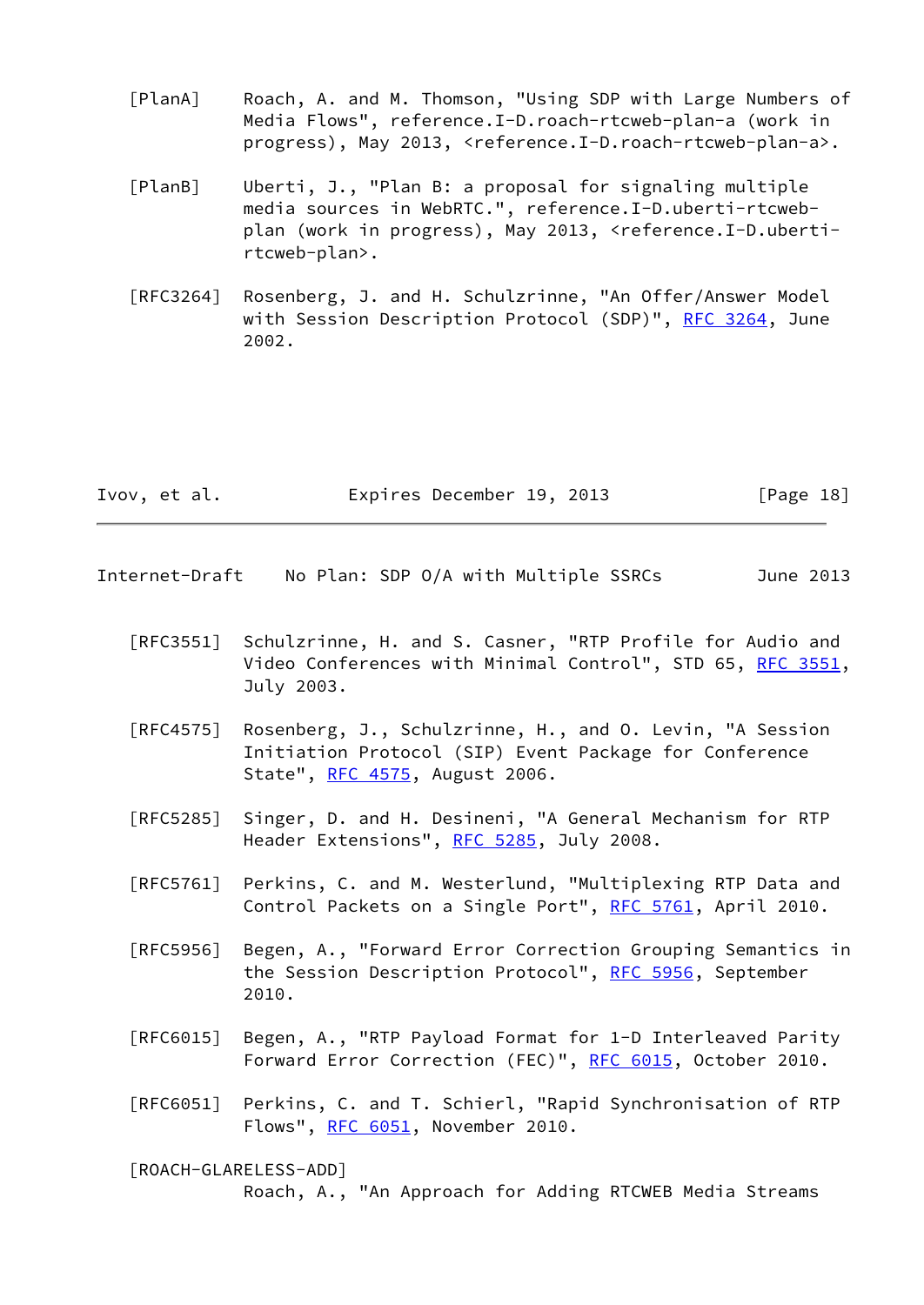- <span id="page-20-1"></span> [PlanA] Roach, A. and M. Thomson, "Using SDP with Large Numbers of Media Flows", reference.I-D.roach-rtcweb-plan-a (work in progress), May 2013, <reference.I-D.roach-rtcweb-plan-a>.
- <span id="page-20-2"></span> [PlanB] Uberti, J., "Plan B: a proposal for signaling multiple media sources in WebRTC.", reference.I-D.uberti-rtcweb plan (work in progress), May 2013, <reference.I-D.uberti rtcweb-plan>.
- [RFC3264] Rosenberg, J. and H. Schulzrinne, "An Offer/Answer Model with Session Description Protocol (SDP)", [RFC 3264](https://datatracker.ietf.org/doc/pdf/rfc3264), June 2002.

| Ivov, et al. | Expires December 19, 2013 | [Page 18] |
|--------------|---------------------------|-----------|
|--------------|---------------------------|-----------|

- <span id="page-20-0"></span>Internet-Draft No Plan: SDP O/A with Multiple SSRCs June 2013
	- [RFC3551] Schulzrinne, H. and S. Casner, "RTP Profile for Audio and Video Conferences with Minimal Control", STD 65, [RFC 3551,](https://datatracker.ietf.org/doc/pdf/rfc3551) July 2003.
	- [RFC4575] Rosenberg, J., Schulzrinne, H., and O. Levin, "A Session Initiation Protocol (SIP) Event Package for Conference State", [RFC 4575,](https://datatracker.ietf.org/doc/pdf/rfc4575) August 2006.
	- [RFC5285] Singer, D. and H. Desineni, "A General Mechanism for RTP Header Extensions", [RFC 5285,](https://datatracker.ietf.org/doc/pdf/rfc5285) July 2008.
	- [RFC5761] Perkins, C. and M. Westerlund, "Multiplexing RTP Data and Control Packets on a Single Port", [RFC 5761](https://datatracker.ietf.org/doc/pdf/rfc5761), April 2010.
	- [RFC5956] Begen, A., "Forward Error Correction Grouping Semantics in the Session Description Protocol", [RFC 5956](https://datatracker.ietf.org/doc/pdf/rfc5956), September 2010.
	- [RFC6015] Begen, A., "RTP Payload Format for 1-D Interleaved Parity Forward Error Correction (FEC)", [RFC 6015,](https://datatracker.ietf.org/doc/pdf/rfc6015) October 2010.
	- [RFC6051] Perkins, C. and T. Schierl, "Rapid Synchronisation of RTP Flows", [RFC 6051,](https://datatracker.ietf.org/doc/pdf/rfc6051) November 2010.

<span id="page-20-3"></span> [ROACH-GLARELESS-ADD] Roach, A., "An Approach for Adding RTCWEB Media Streams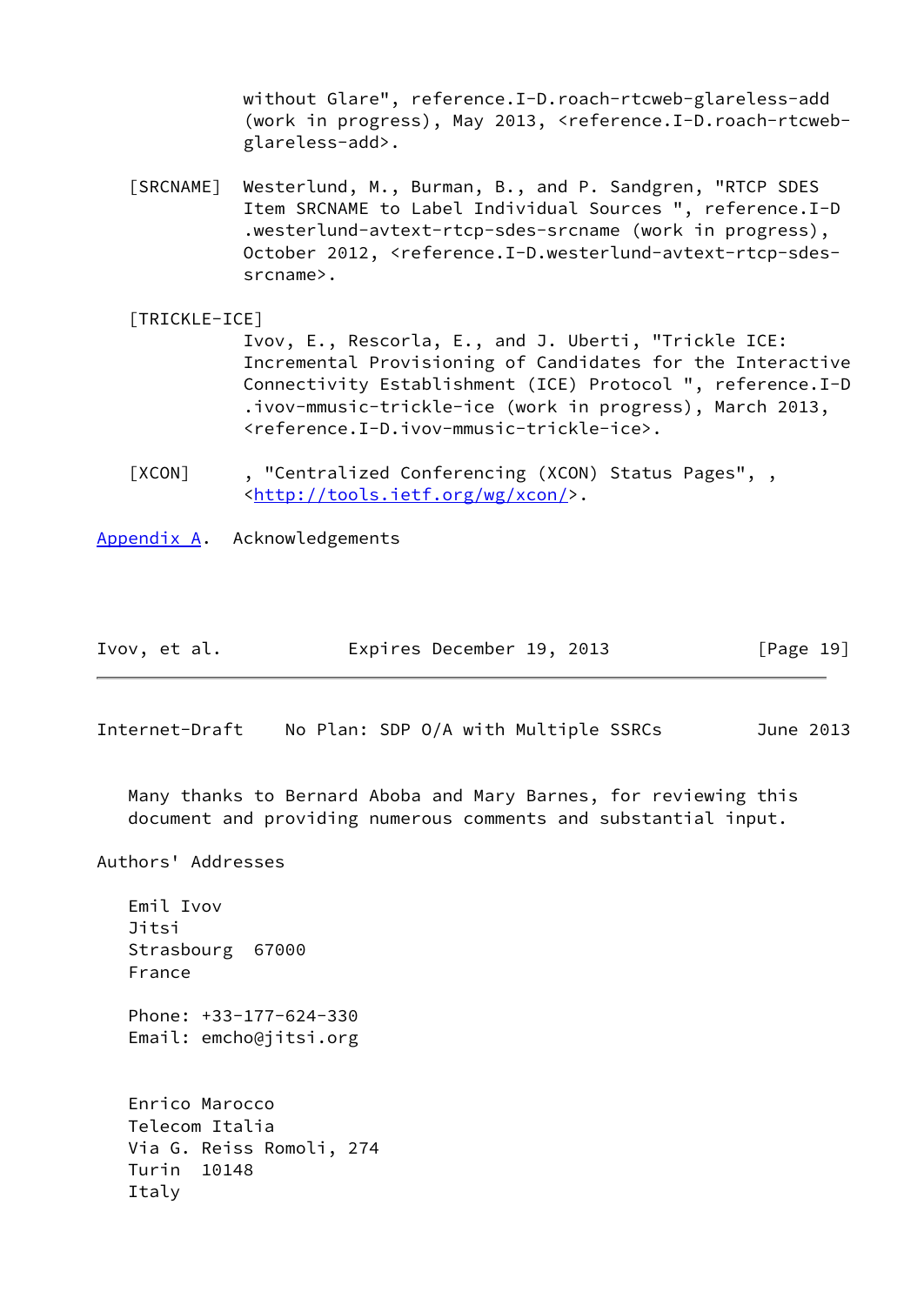without Glare", reference.I-D.roach-rtcweb-glareless-add (work in progress), May 2013, <reference.I-D.roach-rtcweb glareless-add>.

- <span id="page-21-4"></span> [SRCNAME] Westerlund, M., Burman, B., and P. Sandgren, "RTCP SDES Item SRCNAME to Label Individual Sources ", reference.I-D .westerlund-avtext-rtcp-sdes-srcname (work in progress), October 2012, <reference.I-D.westerlund-avtext-rtcp-sdes srcname>.
- <span id="page-21-3"></span> [TRICKLE-ICE] Ivov, E., Rescorla, E., and J. Uberti, "Trickle ICE: Incremental Provisioning of Candidates for the Interactive Connectivity Establishment (ICE) Protocol ", reference.I-D .ivov-mmusic-trickle-ice (work in progress), March 2013, <reference.I-D.ivov-mmusic-trickle-ice>.
- <span id="page-21-2"></span> [XCON] , "Centralized Conferencing (XCON) Status Pages", , <<http://tools.ietf.org/wg/xcon/>>.
- <span id="page-21-0"></span>[Appendix A.](#page-21-0) Acknowledgements

| Ivov, et al. | Expires December 19, 2013 | [Page 19] |
|--------------|---------------------------|-----------|
|--------------|---------------------------|-----------|

<span id="page-21-1"></span>Internet-Draft No Plan: SDP O/A with Multiple SSRCs June 2013

 Many thanks to Bernard Aboba and Mary Barnes, for reviewing this document and providing numerous comments and substantial input.

Authors' Addresses

 Emil Ivov Jitsi

 Strasbourg 67000 France Phone: +33-177-624-330 Email: emcho@jitsi.org Enrico Marocco Telecom Italia Via G. Reiss Romoli, 274 Turin 10148 Italy